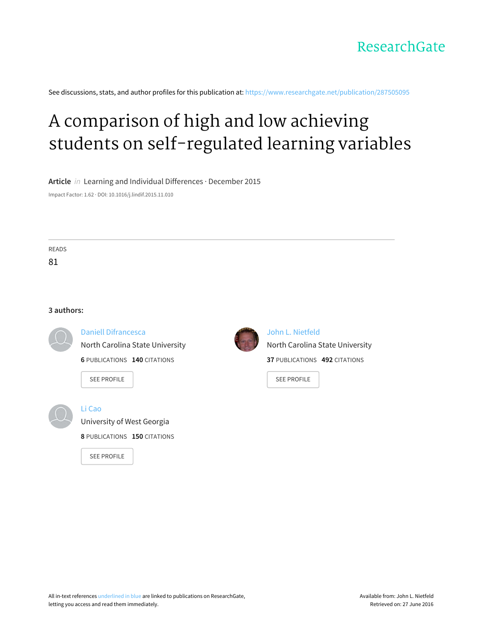

See discussions, stats, and author profiles for this publication at: [https://www.researchgate.net/publication/287505095](https://www.researchgate.net/publication/287505095_A_comparison_of_high_and_low_achieving_students_on_self-regulated_learning_variables?enrichId=rgreq-41c79f884023829bac0215c08e508d0f-XXX&enrichSource=Y292ZXJQYWdlOzI4NzUwNTA5NTtBUzozMjM0NDQ5Njc3MDY2MjhAMTQ1NDEyNjY5NzU2Nw%3D%3D&el=1_x_2)

# A comparison of high and low achieving students on [self-regulated](https://www.researchgate.net/publication/287505095_A_comparison_of_high_and_low_achieving_students_on_self-regulated_learning_variables?enrichId=rgreq-41c79f884023829bac0215c08e508d0f-XXX&enrichSource=Y292ZXJQYWdlOzI4NzUwNTA5NTtBUzozMjM0NDQ5Njc3MDY2MjhAMTQ1NDEyNjY5NzU2Nw%3D%3D&el=1_x_3) learning variables

**Article** in Learning and Individual Differences · December 2015

Impact Factor: 1.62 · DOI: 10.1016/j.lindif.2015.11.010

READS 81

### **3 authors:**



# Daniell [Difrancesca](https://www.researchgate.net/profile/Daniell_Difrancesca?enrichId=rgreq-41c79f884023829bac0215c08e508d0f-XXX&enrichSource=Y292ZXJQYWdlOzI4NzUwNTA5NTtBUzozMjM0NDQ5Njc3MDY2MjhAMTQ1NDEyNjY5NzU2Nw%3D%3D&el=1_x_5)

North Carolina State [University](https://www.researchgate.net/institution/North_Carolina_State_University?enrichId=rgreq-41c79f884023829bac0215c08e508d0f-XXX&enrichSource=Y292ZXJQYWdlOzI4NzUwNTA5NTtBUzozMjM0NDQ5Njc3MDY2MjhAMTQ1NDEyNjY5NzU2Nw%3D%3D&el=1_x_6) **6** PUBLICATIONS **140** CITATIONS

SEE [PROFILE](https://www.researchgate.net/profile/Daniell_Difrancesca?enrichId=rgreq-41c79f884023829bac0215c08e508d0f-XXX&enrichSource=Y292ZXJQYWdlOzI4NzUwNTA5NTtBUzozMjM0NDQ5Njc3MDY2MjhAMTQ1NDEyNjY5NzU2Nw%3D%3D&el=1_x_7)



## Li [Cao](https://www.researchgate.net/profile/Li_Cao20?enrichId=rgreq-41c79f884023829bac0215c08e508d0f-XXX&enrichSource=Y292ZXJQYWdlOzI4NzUwNTA5NTtBUzozMjM0NDQ5Njc3MDY2MjhAMTQ1NDEyNjY5NzU2Nw%3D%3D&el=1_x_5)

[University](https://www.researchgate.net/institution/University_of_West_Georgia2?enrichId=rgreq-41c79f884023829bac0215c08e508d0f-XXX&enrichSource=Y292ZXJQYWdlOzI4NzUwNTA5NTtBUzozMjM0NDQ5Njc3MDY2MjhAMTQ1NDEyNjY5NzU2Nw%3D%3D&el=1_x_6) of West Georgia

**8** PUBLICATIONS **150** CITATIONS

SEE [PROFILE](https://www.researchgate.net/profile/Li_Cao20?enrichId=rgreq-41c79f884023829bac0215c08e508d0f-XXX&enrichSource=Y292ZXJQYWdlOzI4NzUwNTA5NTtBUzozMjM0NDQ5Njc3MDY2MjhAMTQ1NDEyNjY5NzU2Nw%3D%3D&el=1_x_7)



John L. [Nietfeld](https://www.researchgate.net/profile/John_Nietfeld?enrichId=rgreq-41c79f884023829bac0215c08e508d0f-XXX&enrichSource=Y292ZXJQYWdlOzI4NzUwNTA5NTtBUzozMjM0NDQ5Njc3MDY2MjhAMTQ1NDEyNjY5NzU2Nw%3D%3D&el=1_x_5) North Carolina State [University](https://www.researchgate.net/institution/North_Carolina_State_University?enrichId=rgreq-41c79f884023829bac0215c08e508d0f-XXX&enrichSource=Y292ZXJQYWdlOzI4NzUwNTA5NTtBUzozMjM0NDQ5Njc3MDY2MjhAMTQ1NDEyNjY5NzU2Nw%3D%3D&el=1_x_6) **37** PUBLICATIONS **492** CITATIONS

SEE [PROFILE](https://www.researchgate.net/profile/John_Nietfeld?enrichId=rgreq-41c79f884023829bac0215c08e508d0f-XXX&enrichSource=Y292ZXJQYWdlOzI4NzUwNTA5NTtBUzozMjM0NDQ5Njc3MDY2MjhAMTQ1NDEyNjY5NzU2Nw%3D%3D&el=1_x_7)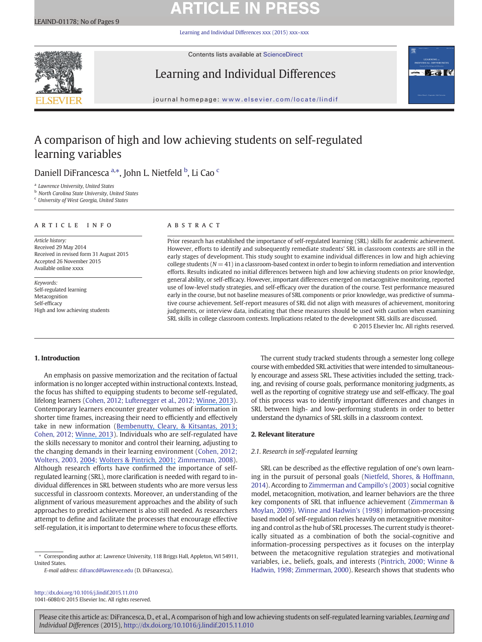# **ARTICLE IN PRESS**

Learning and Individual Differences xxx (2015) xxx–xxx



Contents lists available at ScienceDirect

# Learning and Individual Differences



journal homepage: <www.elsevier.com/locate/lindif>

# A comparison of high and low achieving students on self-regulated learning variables

## Daniell DiFrancesca <sup>a,\*</sup>, John L. Nietfeld <sup>b</sup>, Li Cao <sup>c</sup>

<sup>a</sup> Lawrence University, United States

<sup>b</sup> North Carolina State University, United States

<sup>c</sup> University of West Georgia, United States

#### article info abstract

Article history: Received 29 May 2014 Received in revised form 31 August 2015 Accepted 26 November 2015 Available online xxxx

Keywords: Self-regulated learning Metacognition Self-efficacy High and low achieving students

Prior research has established the importance of self-regulated learning (SRL) skills for academic achievement. However, efforts to identify and subsequently remediate students' SRL in classroom contexts are still in the early stages of development. This study sought to examine individual differences in low and high achieving college students  $(N = 41)$  in a classroom-based context in order to begin to inform remediation and intervention efforts. Results indicated no initial differences between high and low achieving students on prior knowledge, general ability, or self-efficacy. However, important differences emerged on metacognitive monitoring, reported use of low-level study strategies, and self-efficacy over the duration of the course. Test performance measured early in the course, but not baseline measures of SRL components or prior knowledge, was predictive of summative course achievement. Self-report measures of SRL did not align with measures of achievement, monitoring judgments, or interview data, indicating that these measures should be used with caution when examining SRL skills in college classroom contexts. Implications related to the development SRL skills are discussed.

© 2015 Elsevier Inc. All rights reserved.

#### 1. Introduction

An emphasis on passive memorization and the recitation of factual information is no longer accepted within instructional contexts. Instead, the focus has shifted to equipping students to become self-regulated, lifelong learners (Cohen, 2012; Luftenegger et al., 2012; [Winne, 2013](https://www.researchgate.net/publication/291283901_Learning_Strategies_Study_Skills_and_Self-Regulated_Learning_in_Postsecondary_Education?el=1_x_8&enrichId=rgreq-41c79f884023829bac0215c08e508d0f-XXX&enrichSource=Y292ZXJQYWdlOzI4NzUwNTA5NTtBUzozMjM0NDQ5Njc3MDY2MjhAMTQ1NDEyNjY5NzU2Nw==)). Contemporary learners encounter greater volumes of information in shorter time frames, increasing their need to efficiently and effectively take in new information ([Bembenutty, Cleary, & Kitsantas, 2013;](https://www.researchgate.net/publication/281465086_Applications_of_self-regulated_learning_across_diverse_disciplines_A_tribute_to_Barry_J_Zimmerman?el=1_x_8&enrichId=rgreq-41c79f884023829bac0215c08e508d0f-XXX&enrichSource=Y292ZXJQYWdlOzI4NzUwNTA5NTtBUzozMjM0NDQ5Njc3MDY2MjhAMTQ1NDEyNjY5NzU2Nw==) Cohen, 2012; [Winne, 2013](https://www.researchgate.net/publication/291283901_Learning_Strategies_Study_Skills_and_Self-Regulated_Learning_in_Postsecondary_Education?el=1_x_8&enrichId=rgreq-41c79f884023829bac0215c08e508d0f-XXX&enrichSource=Y292ZXJQYWdlOzI4NzUwNTA5NTtBUzozMjM0NDQ5Njc3MDY2MjhAMTQ1NDEyNjY5NzU2Nw==)). Individuals who are self-regulated have the skills necessary to monitor and control their learning, adjusting to the changing demands in their learning environment (Cohen, 2012; Wolters, 2003, [2004](https://www.researchgate.net/publication/238771295_Advancing_Achievement_Goal_Theory_Using_Goal_Structures_and_Goal_Orientations_to_Predict_Students); [Wolters & Pintrich, 2001;](https://www.researchgate.net/publication/280745609_Contextual_differences_in_student_motivation_and_self-regulated_learning_in_mathematics_English_and_social_studies_classrooms?el=1_x_8&enrichId=rgreq-41c79f884023829bac0215c08e508d0f-XXX&enrichSource=Y292ZXJQYWdlOzI4NzUwNTA5NTtBUzozMjM0NDQ5Njc3MDY2MjhAMTQ1NDEyNjY5NzU2Nw==) Zimmerman, 2008). Although research efforts have confirmed the importance of selfregulated learning (SRL), more clarification is needed with regard to individual differences in SRL between students who are more versus less successful in classroom contexts. Moreover, an understanding of the alignment of various measurement approaches and the ability of such approaches to predict achievement is also still needed. As researchers attempt to define and facilitate the processes that encourage effective self-regulation, it is important to determine where to focus these efforts.

E-mail address: [difrancd@lawrence.edu](mailto:difrancd@lawrence.edu) (D. DiFrancesca).

<http://dx.doi.org/10.1016/j.lindif.2015.11.010> 1041-6080/© 2015 Elsevier Inc. All rights reserved.

The current study tracked students through a semester long college course with embedded SRL activities that were intended to simultaneously encourage and assess SRL. These activities included the setting, tracking, and revising of course goals, performance monitoring judgments, as well as the reporting of cognitive strategy use and self-efficacy. The goal of this process was to identify important differences and changes in SRL between high- and low-performing students in order to better understand the dynamics of SRL skills in a classroom context.

### 2. Relevant literature

#### 2.1. Research in self-regulated learning

SRL can be described as the effective regulation of one's own learning in the pursuit of personal goals (Nietfeld, Shores, & Hoffmann, 2014). According to Zimmerman and Campillo's (2003) social cognitive model, metacognition, motivation, and learner behaviors are the three key components of SRL that influence achievement (Zimmerman & Moylan, 2009). Winne and Hadwin's (1998) information-processing based model of self-regulation relies heavily on metacognitive monitoring and control as the hub of SRL processes. The current study is theoretically situated as a combination of both the social-cognitive and information-processing perspectives as it focuses on the interplay between the metacognitive regulation strategies and motivational variables, i.e., beliefs, goals, and interests (Pintrich, 2000; Winne & Hadwin, 1998; Zimmerman, 2000). Research shows that students who

<sup>⁎</sup> Corresponding author at: Lawrence University, 118 Briggs Hall, Appleton, WI 54911, United States.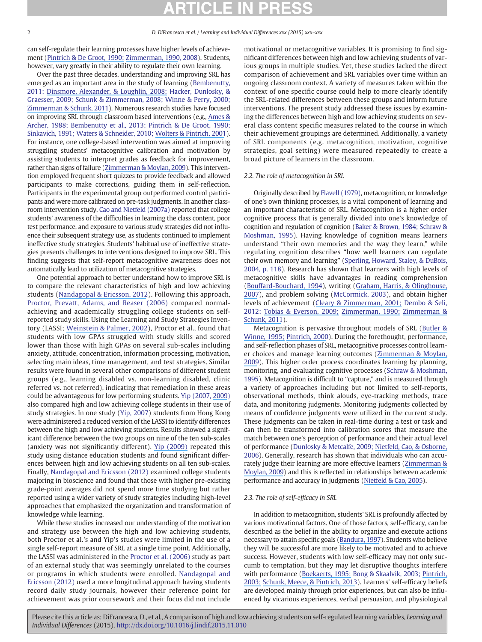can self-regulate their learning processes have higher levels of achievement [\(Pintrich & De Groot, 1990;](https://www.researchgate.net/publication/280758090_Motivational_and_Self-Regulated_Learning_Components_of_Classroom_Academic_Performance?el=1_x_8&enrichId=rgreq-41c79f884023829bac0215c08e508d0f-XXX&enrichSource=Y292ZXJQYWdlOzI4NzUwNTA5NTtBUzozMjM0NDQ5Njc3MDY2MjhAMTQ1NDEyNjY5NzU2Nw==) [Zimmerman, 1990](https://www.researchgate.net/publication/243775466_Self-Regulated_Learning_and_Academic_Achievement_An_Overview?el=1_x_8&enrichId=rgreq-41c79f884023829bac0215c08e508d0f-XXX&enrichSource=Y292ZXJQYWdlOzI4NzUwNTA5NTtBUzozMjM0NDQ5Njc3MDY2MjhAMTQ1NDEyNjY5NzU2Nw==), 2008). Students, however, vary greatly in their ability to regulate their own learning.

Over the past three decades, understanding and improving SRL has emerged as an important area in the study of learning (Bembenutty, 2011; [Dinsmore, Alexander, & Loughlin, 2008;](https://www.researchgate.net/publication/225715021_Focusing_the_Conceptual_Lens_on_Metacognition_Self-regulation_and_Self-regulated_Learning?el=1_x_8&enrichId=rgreq-41c79f884023829bac0215c08e508d0f-XXX&enrichSource=Y292ZXJQYWdlOzI4NzUwNTA5NTtBUzozMjM0NDQ5Njc3MDY2MjhAMTQ1NDEyNjY5NzU2Nw==) Hacker, Dunlosky, & Graesser, 2009; Schunk & Zimmerman, 2008; Winne & Perry, 2000; [Zimmerman & Schunk, 2011](https://www.researchgate.net/publication/233896331_Self-Regulation_of_Learning_and_Performance?el=1_x_8&enrichId=rgreq-41c79f884023829bac0215c08e508d0f-XXX&enrichSource=Y292ZXJQYWdlOzI4NzUwNTA5NTtBUzozMjM0NDQ5Njc3MDY2MjhAMTQ1NDEyNjY5NzU2Nw==)). Numerous research studies have focused on improving SRL through classroom based interventions (e.g., [Ames &](https://www.researchgate.net/publication/232595363_Achievement_Goals_in_the_Classroom_Students) [Archer, 1988;](https://www.researchgate.net/publication/232595363_Achievement_Goals_in_the_Classroom_Students) [Bembenutty et al., 2013;](https://www.researchgate.net/publication/281465086_Applications_of_self-regulated_learning_across_diverse_disciplines_A_tribute_to_Barry_J_Zimmerman?el=1_x_8&enrichId=rgreq-41c79f884023829bac0215c08e508d0f-XXX&enrichSource=Y292ZXJQYWdlOzI4NzUwNTA5NTtBUzozMjM0NDQ5Njc3MDY2MjhAMTQ1NDEyNjY5NzU2Nw==) [Pintrich & De Groot, 1990;](https://www.researchgate.net/publication/280758090_Motivational_and_Self-Regulated_Learning_Components_of_Classroom_Academic_Performance?el=1_x_8&enrichId=rgreq-41c79f884023829bac0215c08e508d0f-XXX&enrichSource=Y292ZXJQYWdlOzI4NzUwNTA5NTtBUzozMjM0NDQ5Njc3MDY2MjhAMTQ1NDEyNjY5NzU2Nw==) Sinkavich, 1991; Waters & Schneider, 2010; [Wolters & Pintrich, 2001](https://www.researchgate.net/publication/280745609_Contextual_differences_in_student_motivation_and_self-regulated_learning_in_mathematics_English_and_social_studies_classrooms?el=1_x_8&enrichId=rgreq-41c79f884023829bac0215c08e508d0f-XXX&enrichSource=Y292ZXJQYWdlOzI4NzUwNTA5NTtBUzozMjM0NDQ5Njc3MDY2MjhAMTQ1NDEyNjY5NzU2Nw==)). For instance, one college-based intervention was aimed at improving struggling students' metacognitive calibration and motivation by assisting students to interpret grades as feedback for improvement, rather than signs of failure ([Zimmerman & Moylan, 2009](https://www.researchgate.net/publication/285323162_Self-regulation_Where_metacognition_and_motivation_intersect?el=1_x_8&enrichId=rgreq-41c79f884023829bac0215c08e508d0f-XXX&enrichSource=Y292ZXJQYWdlOzI4NzUwNTA5NTtBUzozMjM0NDQ5Njc3MDY2MjhAMTQ1NDEyNjY5NzU2Nw==)). This intervention employed frequent short quizzes to provide feedback and allowed participants to make corrections, guiding them in self-reflection. Participants in the experimental group outperformed control participants and were more calibrated on pre-task judgments. In another classroom intervention study, Cao and Nietfeld (2007a) reported that college students' awareness of the difficulties in learning the class content, poor test performance, and exposure to various study strategies did not influence their subsequent strategy use, as students continued to implement ineffective study strategies. Students' habitual use of ineffective strategies presents challenges to interventions designed to improve SRL. This finding suggests that self-report metacognitive awareness does not automatically lead to utilization of metacognitive strategies.

One potential approach to better understand how to improve SRL is to compare the relevant characteristics of high and low achieving students ([Nandagopal & Ericsson, 2012](https://www.researchgate.net/publication/257454976_An_expert_performance_approach_to_the_study_of_individual_differences_in_self-regulated_learning_activities_in_upper-level_college_students?el=1_x_8&enrichId=rgreq-41c79f884023829bac0215c08e508d0f-XXX&enrichSource=Y292ZXJQYWdlOzI4NzUwNTA5NTtBUzozMjM0NDQ5Njc3MDY2MjhAMTQ1NDEyNjY5NzU2Nw==)). Following this approach, Proctor, Prevatt, Adams, and Reaser (2006) compared normalachieving and academically struggling college students on selfreported study skills. Using the Learning and Study Strategies Inventory (LASSI; [Weinstein & Palmer, 2002](https://www.researchgate.net/publication/260296793_Learning_and_Study_Strategies_Inventory_LASSI_Users_Manual?el=1_x_8&enrichId=rgreq-41c79f884023829bac0215c08e508d0f-XXX&enrichSource=Y292ZXJQYWdlOzI4NzUwNTA5NTtBUzozMjM0NDQ5Njc3MDY2MjhAMTQ1NDEyNjY5NzU2Nw==)), Proctor et al., found that students with low GPAs struggled with study skills and scored lower than those with high GPAs on several sub-scales including anxiety, attitude, concentration, information processing, motivation, selecting main ideas, time management, and test strategies. Similar results were found in several other comparisons of different student groups (e.g., learning disabled vs. non-learning disabled, clinic referred vs. not referred), indicating that remediation in these areas could be advantageous for low performing students. Yip (2007, [2009](https://www.researchgate.net/publication/233159814_Differences_between_high_and_low_academic_achieving_university_students_in_learning_and_study_strategies_A_further_investigation?el=1_x_8&enrichId=rgreq-41c79f884023829bac0215c08e508d0f-XXX&enrichSource=Y292ZXJQYWdlOzI4NzUwNTA5NTtBUzozMjM0NDQ5Njc3MDY2MjhAMTQ1NDEyNjY5NzU2Nw==)) also compared high and low achieving college students in their use of study strategies. In one study (Yip, 2007) students from Hong Kong were administered a reduced version of the LASSI to identify differences between the high and low achieving students. Results showed a significant difference between the two groups on nine of the ten sub-scales (anxiety was not significantly different). [Yip \(2009\)](https://www.researchgate.net/publication/233159814_Differences_between_high_and_low_academic_achieving_university_students_in_learning_and_study_strategies_A_further_investigation?el=1_x_8&enrichId=rgreq-41c79f884023829bac0215c08e508d0f-XXX&enrichSource=Y292ZXJQYWdlOzI4NzUwNTA5NTtBUzozMjM0NDQ5Njc3MDY2MjhAMTQ1NDEyNjY5NzU2Nw==) repeated this study using distance education students and found significant differences between high and low achieving students on all ten sub-scales. Finally, Nandagopal and Ericsson (2012) examined college students majoring in bioscience and found that those with higher pre-existing grade-point averages did not spend more time studying but rather reported using a wider variety of study strategies including high-level approaches that emphasized the organization and transformation of knowledge while learning.

While these studies increased our understanding of the motivation and strategy use between the high and low achieving students, both Proctor et al.'s and Yip's studies were limited in the use of a single self-report measure of SRL at a single time point. Additionally, the LASSI was administered in the Proctor et al. (2006) study as part of an external study that was seemingly unrelated to the courses or programs in which students were enrolled. Nandagopal and Ericsson (2012) used a more longitudinal approach having students record daily study journals, however their reference point for achievement was prior coursework and their focus did not include motivational or metacognitive variables. It is promising to find significant differences between high and low achieving students of various groups in multiple studies. Yet, these studies lacked the direct comparison of achievement and SRL variables over time within an ongoing classroom context. A variety of measures taken within the context of one specific course could help to more clearly identify the SRL-related differences between these groups and inform future interventions. The present study addressed these issues by examining the differences between high and low achieving students on several class content specific measures related to the course in which their achievement groupings are determined. Additionally, a variety of SRL components (e.g. metacognition, motivation, cognitive strategies, goal setting) were measured repeatedly to create a broad picture of learners in the classroom.

#### 2.2. The role of metacognition in SRL

Originally described by Flavell (1979), metacognition, or knowledge of one's own thinking processes, is a vital component of learning and an important characteristic of SRL. Metacognition is a higher order cognitive process that is generally divided into one's knowledge of cognition and regulation of cognition (Baker & Brown, 1984; Schraw & Moshman, 1995). Having knowledge of cognition means learners understand "their own memories and the way they learn," while regulating cognition describes "how well learners can regulate their own memory and learning" (Sperling, Howard, Staley, & DuBois, 2004, p. 118). Research has shown that learners with high levels of metacognitive skills have advantages in reading comprehension ([Bouffard-Bouchard, 1994](https://www.researchgate.net/publication/254110554_Effect_of_Activating_Conditional_Knowledge_on_Self-efficacy_and_Comprehension_Monitoring?el=1_x_8&enrichId=rgreq-41c79f884023829bac0215c08e508d0f-XXX&enrichSource=Y292ZXJQYWdlOzI4NzUwNTA5NTtBUzozMjM0NDQ5Njc3MDY2MjhAMTQ1NDEyNjY5NzU2Nw==)), writing ([Graham, Harris, & Olinghouse,](https://www.researchgate.net/publication/292019765_Addressing_executive_function_problems_in_writing_An_example_from_the_self-regulated_strategy_development_model?el=1_x_8&enrichId=rgreq-41c79f884023829bac0215c08e508d0f-XXX&enrichSource=Y292ZXJQYWdlOzI4NzUwNTA5NTtBUzozMjM0NDQ5Njc3MDY2MjhAMTQ1NDEyNjY5NzU2Nw==) [2007](https://www.researchgate.net/publication/292019765_Addressing_executive_function_problems_in_writing_An_example_from_the_self-regulated_strategy_development_model?el=1_x_8&enrichId=rgreq-41c79f884023829bac0215c08e508d0f-XXX&enrichSource=Y292ZXJQYWdlOzI4NzUwNTA5NTtBUzozMjM0NDQ5Njc3MDY2MjhAMTQ1NDEyNjY5NzU2Nw==)), and problem solving (McCormick, 2003), and obtain higher levels of achievement [\(Cleary & Zimmerman, 2001;](https://www.researchgate.net/publication/232907923_Self-Regulation_Differences_during_Athletic_Practice_by_Experts_Non-Experts_and_Novices?el=1_x_8&enrichId=rgreq-41c79f884023829bac0215c08e508d0f-XXX&enrichSource=Y292ZXJQYWdlOzI4NzUwNTA5NTtBUzozMjM0NDQ5Njc3MDY2MjhAMTQ1NDEyNjY5NzU2Nw==) Dembo & Seli, 2012; [Tobias & Everson, 2009;](https://www.researchgate.net/publication/285448277_The_importance_of_knowing_what_you_know_A_knowledge_monitoring_framework_for_studying_metacognition_in_education?el=1_x_8&enrichId=rgreq-41c79f884023829bac0215c08e508d0f-XXX&enrichSource=Y292ZXJQYWdlOzI4NzUwNTA5NTtBUzozMjM0NDQ5Njc3MDY2MjhAMTQ1NDEyNjY5NzU2Nw==) [Zimmerman, 1990;](https://www.researchgate.net/publication/243775466_Self-Regulated_Learning_and_Academic_Achievement_An_Overview?el=1_x_8&enrichId=rgreq-41c79f884023829bac0215c08e508d0f-XXX&enrichSource=Y292ZXJQYWdlOzI4NzUwNTA5NTtBUzozMjM0NDQ5Njc3MDY2MjhAMTQ1NDEyNjY5NzU2Nw==) [Zimmerman &](https://www.researchgate.net/publication/233896331_Self-Regulation_of_Learning_and_Performance?el=1_x_8&enrichId=rgreq-41c79f884023829bac0215c08e508d0f-XXX&enrichSource=Y292ZXJQYWdlOzI4NzUwNTA5NTtBUzozMjM0NDQ5Njc3MDY2MjhAMTQ1NDEyNjY5NzU2Nw==) [Schunk, 2011](https://www.researchgate.net/publication/233896331_Self-Regulation_of_Learning_and_Performance?el=1_x_8&enrichId=rgreq-41c79f884023829bac0215c08e508d0f-XXX&enrichSource=Y292ZXJQYWdlOzI4NzUwNTA5NTtBUzozMjM0NDQ5Njc3MDY2MjhAMTQ1NDEyNjY5NzU2Nw==)).

Metacognition is pervasive throughout models of SRL ([Butler &](https://www.researchgate.net/publication/243774262_Feedback_and_Self-Regulated_Learning_A_Theoretical_Synthesis?el=1_x_8&enrichId=rgreq-41c79f884023829bac0215c08e508d0f-XXX&enrichSource=Y292ZXJQYWdlOzI4NzUwNTA5NTtBUzozMjM0NDQ5Njc3MDY2MjhAMTQ1NDEyNjY5NzU2Nw==) [Winne, 1995;](https://www.researchgate.net/publication/243774262_Feedback_and_Self-Regulated_Learning_A_Theoretical_Synthesis?el=1_x_8&enrichId=rgreq-41c79f884023829bac0215c08e508d0f-XXX&enrichSource=Y292ZXJQYWdlOzI4NzUwNTA5NTtBUzozMjM0NDQ5Njc3MDY2MjhAMTQ1NDEyNjY5NzU2Nw==) [Pintrich, 2000](https://www.researchgate.net/publication/243783698_The_Role_of_Goal_Orientation_in_Self-Regulated_Learning?el=1_x_8&enrichId=rgreq-41c79f884023829bac0215c08e508d0f-XXX&enrichSource=Y292ZXJQYWdlOzI4NzUwNTA5NTtBUzozMjM0NDQ5Njc3MDY2MjhAMTQ1NDEyNjY5NzU2Nw==)). During the forethought, performance, and self-reflection phases of SRL, metacognitive processes control learner choices and manage learning outcomes ([Zimmerman & Moylan,](https://www.researchgate.net/publication/285323162_Self-regulation_Where_metacognition_and_motivation_intersect?el=1_x_8&enrichId=rgreq-41c79f884023829bac0215c08e508d0f-XXX&enrichSource=Y292ZXJQYWdlOzI4NzUwNTA5NTtBUzozMjM0NDQ5Njc3MDY2MjhAMTQ1NDEyNjY5NzU2Nw==) [2009](https://www.researchgate.net/publication/285323162_Self-regulation_Where_metacognition_and_motivation_intersect?el=1_x_8&enrichId=rgreq-41c79f884023829bac0215c08e508d0f-XXX&enrichSource=Y292ZXJQYWdlOzI4NzUwNTA5NTtBUzozMjM0NDQ5Njc3MDY2MjhAMTQ1NDEyNjY5NzU2Nw==)). This higher order process coordinates learning by planning, monitoring, and evaluating cognitive processes (Schraw & Moshman, 1995). Metacognition is difficult to "capture," and is measured through a variety of approaches including but not limited to self-reports, observational methods, think alouds, eye-tracking methods, trace data, and monitoring judgments. Monitoring judgments collected by means of confidence judgments were utilized in the current study. These judgments can be taken in real-time during a test or task and can then be transformed into calibration scores that measure the match between one's perception of performance and their actual level of performance (Dunlosky & Metcalfe, 2009; [Nietfeld, Cao, & Osborne,](https://www.researchgate.net/publication/225339577_The_effect_of_distributed_monitoring_exercises_and_feedback_on_performance_monitoring_accuracy_and_self-efficacy_Metacognition_and_Learning_1_159-179?el=1_x_8&enrichId=rgreq-41c79f884023829bac0215c08e508d0f-XXX&enrichSource=Y292ZXJQYWdlOzI4NzUwNTA5NTtBUzozMjM0NDQ5Njc3MDY2MjhAMTQ1NDEyNjY5NzU2Nw==) [2006](https://www.researchgate.net/publication/225339577_The_effect_of_distributed_monitoring_exercises_and_feedback_on_performance_monitoring_accuracy_and_self-efficacy_Metacognition_and_Learning_1_159-179?el=1_x_8&enrichId=rgreq-41c79f884023829bac0215c08e508d0f-XXX&enrichSource=Y292ZXJQYWdlOzI4NzUwNTA5NTtBUzozMjM0NDQ5Njc3MDY2MjhAMTQ1NDEyNjY5NzU2Nw==)). Generally, research has shown that individuals who can accurately judge their learning are more effective learners ([Zimmerman &](https://www.researchgate.net/publication/285323162_Self-regulation_Where_metacognition_and_motivation_intersect?el=1_x_8&enrichId=rgreq-41c79f884023829bac0215c08e508d0f-XXX&enrichSource=Y292ZXJQYWdlOzI4NzUwNTA5NTtBUzozMjM0NDQ5Njc3MDY2MjhAMTQ1NDEyNjY5NzU2Nw==) [Moylan, 2009](https://www.researchgate.net/publication/285323162_Self-regulation_Where_metacognition_and_motivation_intersect?el=1_x_8&enrichId=rgreq-41c79f884023829bac0215c08e508d0f-XXX&enrichSource=Y292ZXJQYWdlOzI4NzUwNTA5NTtBUzozMjM0NDQ5Njc3MDY2MjhAMTQ1NDEyNjY5NzU2Nw==)) and this is reflected in relationships between academic performance and accuracy in judgments [\(Nietfeld & Cao, 2005](https://www.researchgate.net/publication/289077805_Judgement_of_learning_monitoring_accuracy_and_student_performance_in_the_classroom_context?el=1_x_8&enrichId=rgreq-41c79f884023829bac0215c08e508d0f-XXX&enrichSource=Y292ZXJQYWdlOzI4NzUwNTA5NTtBUzozMjM0NDQ5Njc3MDY2MjhAMTQ1NDEyNjY5NzU2Nw==)).

#### 2.3. The role of self-efficacy in SRL

In addition to metacognition, students' SRL is profoundly affected by various motivational factors. One of those factors, self-efficacy, can be described as the belief in the ability to organize and execute actions necessary to attain specific goals ([Bandura, 1997](https://www.researchgate.net/publication/229068345_Self-efficacy_The_Exercise_of_Control_WH?el=1_x_8&enrichId=rgreq-41c79f884023829bac0215c08e508d0f-XXX&enrichSource=Y292ZXJQYWdlOzI4NzUwNTA5NTtBUzozMjM0NDQ5Njc3MDY2MjhAMTQ1NDEyNjY5NzU2Nw==)). Students who believe they will be successful are more likely to be motivated and to achieve success. However, students with low self-efficacy may not only succumb to temptation, but they may let disruptive thoughts interfere with performance [\(Boekaerts, 1995;](https://www.researchgate.net/publication/240240895_Self-regulated_learning_Bridging_the_gap_between_metacognitive_and_metamotivation_theories?el=1_x_8&enrichId=rgreq-41c79f884023829bac0215c08e508d0f-XXX&enrichSource=Y292ZXJQYWdlOzI4NzUwNTA5NTtBUzozMjM0NDQ5Njc3MDY2MjhAMTQ1NDEyNjY5NzU2Nw==) Bong & Skaalvik, 2003; [Pintrich,](https://www.researchgate.net/publication/244959338_A_Motivational_Science_Perspective_on_the_Role_of_Student_Motivation_in_Learning_and_Teaching_Contexts?el=1_x_8&enrichId=rgreq-41c79f884023829bac0215c08e508d0f-XXX&enrichSource=Y292ZXJQYWdlOzI4NzUwNTA5NTtBUzozMjM0NDQ5Njc3MDY2MjhAMTQ1NDEyNjY5NzU2Nw==) [2003;](https://www.researchgate.net/publication/244959338_A_Motivational_Science_Perspective_on_the_Role_of_Student_Motivation_in_Learning_and_Teaching_Contexts?el=1_x_8&enrichId=rgreq-41c79f884023829bac0215c08e508d0f-XXX&enrichSource=Y292ZXJQYWdlOzI4NzUwNTA5NTtBUzozMjM0NDQ5Njc3MDY2MjhAMTQ1NDEyNjY5NzU2Nw==) [Schunk, Meece, & Pintrich, 2013](https://www.researchgate.net/publication/233896244_Motivation_In_Education_Theory_Research_and_Applications?el=1_x_8&enrichId=rgreq-41c79f884023829bac0215c08e508d0f-XXX&enrichSource=Y292ZXJQYWdlOzI4NzUwNTA5NTtBUzozMjM0NDQ5Njc3MDY2MjhAMTQ1NDEyNjY5NzU2Nw==)). Learners' self-efficacy beliefs are developed mainly through prior experiences, but can also be influenced by vicarious experiences, verbal persuasion, and physiological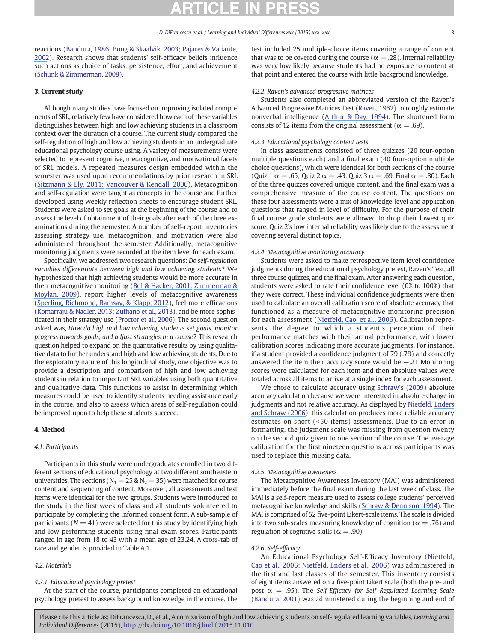reactions ([Bandura, 1986;](https://www.researchgate.net/publication/242416080_The_Social_Foundations_of_Thought_and_Action?el=1_x_8&enrichId=rgreq-41c79f884023829bac0215c08e508d0f-XXX&enrichSource=Y292ZXJQYWdlOzI4NzUwNTA5NTtBUzozMjM0NDQ5Njc3MDY2MjhAMTQ1NDEyNjY5NzU2Nw==) Bong & Skaalvik, 2003; [Pajares & Valiante,](https://www.researchgate.net/publication/247864761_Students) [2002](https://www.researchgate.net/publication/247864761_Students)). Research shows that students' self-efficacy beliefs influence such actions as choice of tasks, persistence, effort, and achievement (Schunk & Zimmerman, 2008).

### 3. Current study

Although many studies have focused on improving isolated components of SRL, relatively few have considered how each of these variables distinguishes between high and low achieving students in a classroom context over the duration of a course. The current study compared the self-regulation of high and low achieving students in an undergraduate educational psychology course using. A variety of measurements were selected to represent cognitive, metacognitive, and motivational facets of SRL models. A repeated measures design embedded within the semester was used upon recommendations by prior research in SRL ([Sitzmann & Ely, 2011;](https://www.researchgate.net/publication/50393446_A_Meta-Analysis_of_Self-Regulated_Learning_in_Work-Related_Training_and_Educational_Attainment_What_We_Know_and_Where_We_Need_to_Go?el=1_x_8&enrichId=rgreq-41c79f884023829bac0215c08e508d0f-XXX&enrichSource=Y292ZXJQYWdlOzI4NzUwNTA5NTtBUzozMjM0NDQ5Njc3MDY2MjhAMTQ1NDEyNjY5NzU2Nw==) [Vancouver & Kendall, 2006](https://www.researchgate.net/publication/6835944_When_self-efficacy_negatively_relates_to_motivation_and_performance_in_a_learning_context?el=1_x_8&enrichId=rgreq-41c79f884023829bac0215c08e508d0f-XXX&enrichSource=Y292ZXJQYWdlOzI4NzUwNTA5NTtBUzozMjM0NDQ5Njc3MDY2MjhAMTQ1NDEyNjY5NzU2Nw==)). Metacognition and self-regulation were taught as concepts in the course and further developed using weekly reflection sheets to encourage student SRL. Students were asked to set goals at the beginning of the course and to assess the level of obtainment of their goals after each of the three examinations during the semester. A number of self-report inventories assessing strategy use, metacognition, and motivation were also administered throughout the semester. Additionally, metacognitive monitoring judgments were recorded at the item level for each exam.

Specifically, we addressed two research questions: Do self-regulation variables differentiate between high and low achieving students? We hypothesized that high achieving students would be more accurate in their metacognitive monitoring ([Bol & Hacker, 2001;](https://www.researchgate.net/publication/249038719_A_Comparison_of_the_Effects_of_Practice_Tests_and_Traditional_Review_on_Performance_and_Calibration?el=1_x_8&enrichId=rgreq-41c79f884023829bac0215c08e508d0f-XXX&enrichSource=Y292ZXJQYWdlOzI4NzUwNTA5NTtBUzozMjM0NDQ5Njc3MDY2MjhAMTQ1NDEyNjY5NzU2Nw==) [Zimmerman &](https://www.researchgate.net/publication/285323162_Self-regulation_Where_metacognition_and_motivation_intersect?el=1_x_8&enrichId=rgreq-41c79f884023829bac0215c08e508d0f-XXX&enrichSource=Y292ZXJQYWdlOzI4NzUwNTA5NTtBUzozMjM0NDQ5Njc3MDY2MjhAMTQ1NDEyNjY5NzU2Nw==) [Moylan, 2009](https://www.researchgate.net/publication/285323162_Self-regulation_Where_metacognition_and_motivation_intersect?el=1_x_8&enrichId=rgreq-41c79f884023829bac0215c08e508d0f-XXX&enrichSource=Y292ZXJQYWdlOzI4NzUwNTA5NTtBUzozMjM0NDQ5Njc3MDY2MjhAMTQ1NDEyNjY5NzU2Nw==)), report higher levels of metacognitive awareness [\(Sperling, Richmond, Ramsay, & Klapp, 2012](https://www.researchgate.net/publication/233186307_The_Measurement_and_Predictive_Ability_of_Metacognition_in_Middle_School_Learners?el=1_x_8&enrichId=rgreq-41c79f884023829bac0215c08e508d0f-XXX&enrichSource=Y292ZXJQYWdlOzI4NzUwNTA5NTtBUzozMjM0NDQ5Njc3MDY2MjhAMTQ1NDEyNjY5NzU2Nw==)), feel more efficacious (Komarraju & Nadler, 2013; Zuffi[ano et al., 2013](https://www.researchgate.net/publication/232815181_Academic_achievement_The_unique_contribution_of_self-efficacy_beliefs_in_self-regulated_learning_beyond_intelligence_personality_traits_and_self-esteem?el=1_x_8&enrichId=rgreq-41c79f884023829bac0215c08e508d0f-XXX&enrichSource=Y292ZXJQYWdlOzI4NzUwNTA5NTtBUzozMjM0NDQ5Njc3MDY2MjhAMTQ1NDEyNjY5NzU2Nw==)), and be more sophisticated in their strategy use (Proctor et al., 2006). The second question asked was, How do high and low achieving students set goals, monitor progress towards goals, and adjust strategies in a course? This research question helped to expand on the quantitative results by using qualitative data to further understand high and low achieving students. Due to the exploratory nature of this longitudinal study, one objective was to provide a description and comparison of high and low achieving students in relation to important SRL variables using both quantitative and qualitative data. This functions to assist in determining which measures could be used to identify students needing assistance early in the course, and also to assess which areas of self-regulation could be improved upon to help these students succeed.

#### 4. Method

#### 4.1. Participants

Participants in this study were undergraduates enrolled in two different sections of educational psychology at two different southeastern universities. The sections ( $N_1 = 25$  &  $N_2 = 35$ ) were matched for course content and sequencing of content. Moreover, all assessments and test items were identical for the two groups. Students were introduced to the study in the first week of class and all students volunteered to participate by completing the informed consent form. A sub-sample of participants ( $N = 41$ ) were selected for this study by identifying high and low performing students using final exam scores. Participants ranged in age from 18 to 43 with a mean age of 23.24. A cross-tab of race and gender is provided in Table A.1.

### 4.2. Materials

### 4.2.1. Educational psychology pretest

At the start of the course, participants completed an educational psychology pretest to assess background knowledge in the course. The test included 25 multiple-choice items covering a range of content that was to be covered during the course ( $\alpha = .28$ ). Internal reliability was very low likely because students had no exposure to content at that point and entered the course with little background knowledge.

#### 4.2.2. Raven's advanced progressive matrices

Students also completed an abbreviated version of the Raven's Advanced Progressive Matrices Test (Raven, 1962) to roughly estimate nonverbal intelligence ([Arthur & Day, 1994](https://www.researchgate.net/publication/247728106_Development_of_a_Short_form_for_the_Raven_Advanced_Progressive_Matrices_Test?el=1_x_8&enrichId=rgreq-41c79f884023829bac0215c08e508d0f-XXX&enrichSource=Y292ZXJQYWdlOzI4NzUwNTA5NTtBUzozMjM0NDQ5Njc3MDY2MjhAMTQ1NDEyNjY5NzU2Nw==)). The shortened form consists of 12 items from the original assessment ( $\alpha = .69$ ).

### 4.2.3. Educational psychology content tests

In class assessments consisted of three quizzes (20 four-option multiple questions each) and a final exam (40 four-option multiple choice questions), which were identical for both sections of the course (Quiz 1  $\alpha = .65$ ; Quiz 2  $\alpha = .43$ , Quiz 3  $\alpha = .69$ , Final  $\alpha = .80$ ). Each of the three quizzes covered unique content, and the final exam was a comprehensive measure of the course content. The questions on these four assessments were a mix of knowledge-level and application questions that ranged in level of difficulty. For the purpose of their final course grade students were allowed to drop their lowest quiz score. Quiz 2's low internal reliability was likely due to the assessment covering several distinct topics.

#### 4.2.4. Metacognitive monitoring accuracy

Students were asked to make retrospective item level confidence judgments during the educational psychology pretest, Raven's Test, all three course quizzes, and the final exam. After answering each question, students were asked to rate their confidence level (0% to 100%) that they were correct. These individual confidence judgments were then used to calculate an overall calibration score of absolute accuracy that functioned as a measure of metacognitive monitoring precision for each assessment ([Nietfeld, Cao, et al., 2006](https://www.researchgate.net/publication/225339577_The_effect_of_distributed_monitoring_exercises_and_feedback_on_performance_monitoring_accuracy_and_self-efficacy_Metacognition_and_Learning_1_159-179?el=1_x_8&enrichId=rgreq-41c79f884023829bac0215c08e508d0f-XXX&enrichSource=Y292ZXJQYWdlOzI4NzUwNTA5NTtBUzozMjM0NDQ5Njc3MDY2MjhAMTQ1NDEyNjY5NzU2Nw==)). Calibration represents the degree to which a student's perception of their performance matches with their actual performance, with lower calibration scores indicating more accurate judgments. For instance, if a student provided a confidence judgment of 79 (.79) and correctly answered the item their accuracy score would be −.21 Monitoring scores were calculated for each item and then absolute values were totaled across all items to arrive at a single index for each assessment.

We chose to calculate accuracy using Schraw's (2009) absolute accuracy calculation because we were interested in absolute change in judgments and not relative accuracy. As displayed by Nietfeld, [Enders](https://www.researchgate.net/publication/247728585_A_Monte_Carlo_Comparison_of_Measures_of_Relative_and_Absolute_Monitoring_Accuracy?el=1_x_8&enrichId=rgreq-41c79f884023829bac0215c08e508d0f-XXX&enrichSource=Y292ZXJQYWdlOzI4NzUwNTA5NTtBUzozMjM0NDQ5Njc3MDY2MjhAMTQ1NDEyNjY5NzU2Nw==) [and Schraw \(2006\)](https://www.researchgate.net/publication/247728585_A_Monte_Carlo_Comparison_of_Measures_of_Relative_and_Absolute_Monitoring_Accuracy?el=1_x_8&enrichId=rgreq-41c79f884023829bac0215c08e508d0f-XXX&enrichSource=Y292ZXJQYWdlOzI4NzUwNTA5NTtBUzozMjM0NDQ5Njc3MDY2MjhAMTQ1NDEyNjY5NzU2Nw==), this calculation produces more reliable accuracy estimates on short (<50 items) assessments. Due to an error in formatting, the judgment scale was missing from question twenty on the second quiz given to one section of the course. The average calibration for the first nineteen questions across participants was used to replace this missing data.

### 4.2.5. Metacognitive awareness

The Metacognitive Awareness Inventory (MAI) was administered immediately before the final exam during the last week of class. The MAI is a self-report measure used to assess college students' perceived metacognitive knowledge and skills ([Schraw & Dennison, 1994](https://www.researchgate.net/publication/257178525_Assessing_Metacognitive_Awareness?el=1_x_8&enrichId=rgreq-41c79f884023829bac0215c08e508d0f-XXX&enrichSource=Y292ZXJQYWdlOzI4NzUwNTA5NTtBUzozMjM0NDQ5Njc3MDY2MjhAMTQ1NDEyNjY5NzU2Nw==)). The MAI is comprised of 52 five-point Likert-scale items. The scale is divided into two sub-scales measuring knowledge of cognition ( $\alpha = .76$ ) and regulation of cognitive skills ( $\alpha = .90$ ).

#### 4.2.6. Self-efficacy

An Educational Psychology Self-Efficacy Inventory (Nietfeld, [Cao et al., 2006;](https://www.researchgate.net/publication/225339577_The_effect_of_distributed_monitoring_exercises_and_feedback_on_performance_monitoring_accuracy_and_self-efficacy_Metacognition_and_Learning_1_159-179?el=1_x_8&enrichId=rgreq-41c79f884023829bac0215c08e508d0f-XXX&enrichSource=Y292ZXJQYWdlOzI4NzUwNTA5NTtBUzozMjM0NDQ5Njc3MDY2MjhAMTQ1NDEyNjY5NzU2Nw==) [Nietfeld, Enders et al., 2006](https://www.researchgate.net/publication/247728585_A_Monte_Carlo_Comparison_of_Measures_of_Relative_and_Absolute_Monitoring_Accuracy?el=1_x_8&enrichId=rgreq-41c79f884023829bac0215c08e508d0f-XXX&enrichSource=Y292ZXJQYWdlOzI4NzUwNTA5NTtBUzozMjM0NDQ5Njc3MDY2MjhAMTQ1NDEyNjY5NzU2Nw==)) was administered in the first and last classes of the semester. This inventory consists of eight items answered on a five-point Likert scale (both the pre- and post  $\alpha$  = .95). The Self-Efficacy for Self Regulated Learning Scale ([Bandura, 2001](https://www.researchgate.net/publication/227705777_Social_Cognitive_Theory_An_Agentic_Perspective?el=1_x_8&enrichId=rgreq-41c79f884023829bac0215c08e508d0f-XXX&enrichSource=Y292ZXJQYWdlOzI4NzUwNTA5NTtBUzozMjM0NDQ5Njc3MDY2MjhAMTQ1NDEyNjY5NzU2Nw==)) was administered during the beginning and end of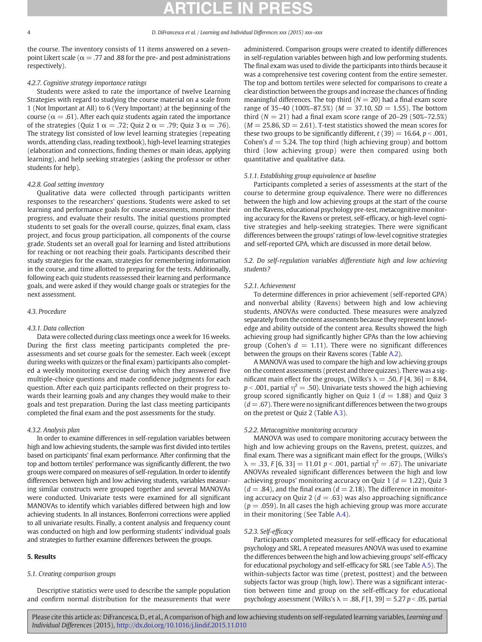#### D. DiFrancesca et al. / Learning and Individual Differences xxx (2015) xxx-xxx

the course. The inventory consists of 11 items answered on a sevenpoint Likert scale ( $\alpha = 0.77$  and .88 for the pre- and post administrations respectively).

#### 4.2.7. Cognitive strategy importance ratings

Students were asked to rate the importance of twelve Learning Strategies with regard to studying the course material on a scale from 1 (Not Important at All) to 6 (Very Important) at the beginning of the course ( $\alpha = .61$ ). After each quiz students again rated the importance of the strategies (Quiz 1  $\alpha = .72$ ; Quiz 2  $\alpha = .79$ ; Quiz 3  $\alpha = .76$ ). The strategy list consisted of low level learning strategies (repeating words, attending class, reading textbook), high-level learning strategies (elaboration and connections, finding themes or main ideas, applying learning), and help seeking strategies (asking the professor or other students for help).

#### 4.2.8. Goal setting inventory

Qualitative data were collected through participants written responses to the researchers' questions. Students were asked to set learning and performance goals for course assessments, monitor their progress, and evaluate their results. The initial questions prompted students to set goals for the overall course, quizzes, final exam, class project, and focus group participation, all components of the course grade. Students set an overall goal for learning and listed attributions for reaching or not reaching their goals. Participants described their study strategies for the exam, strategies for remembering information in the course, and time allotted to preparing for the tests. Additionally, following each quiz students reassessed their learning and performance goals, and were asked if they would change goals or strategies for the next assessment.

#### 4.3. Procedure

#### 4.3.1. Data collection

Data were collected during class meetings once a week for 16 weeks. During the first class meeting participants completed the preassessments and set course goals for the semester. Each week (except during weeks with quizzes or the final exam) participants also completed a weekly monitoring exercise during which they answered five multiple-choice questions and made confidence judgments for each question. After each quiz participants reflected on their progress towards their learning goals and any changes they would make to their goals and test preparation. During the last class meeting participants completed the final exam and the post assessments for the study.

#### 4.3.2. Analysis plan

In order to examine differences in self-regulation variables between high and low achieving students, the sample was first divided into tertiles based on participants' final exam performance. After confirming that the top and bottom tertiles' performance was significantly different, the two groups were compared on measures of self-regulation. In order to identify differences between high and low achieving students, variables measuring similar constructs were grouped together and several MANOVAs were conducted. Univariate tests were examined for all significant MANOVAs to identify which variables differed between high and low achieving students. In all instances, Bonferroni corrections were applied to all univariate results. Finally, a content analysis and frequency count was conducted on high and low performing students' individual goals and strategies to further examine differences between the groups.

### 5. Results

### 5.1. Creating comparison groups

Descriptive statistics were used to describe the sample population and confirm normal distribution for the measurements that were administered. Comparison groups were created to identify differences in self-regulation variables between high and low performing students. The final exam was used to divide the participants into thirds because it was a comprehensive test covering content from the entire semester. The top and bottom tertiles were selected for comparisons to create a clear distinction between the groups and increase the chances of finding meaningful differences. The top third ( $N = 20$ ) had a final exam score range of 35–40 (100%–87.5%) ( $M = 37.10$ , SD = 1.55). The bottom third ( $N = 21$ ) had a final exam score range of 20–29 (50%–72.5%)  $(M = 25.86, SD = 2.61)$ . T-test statistics showed the mean scores for these two groups to be significantly different,  $t(39) = 16.64$ ,  $p < .001$ , Cohen's  $d = 5.24$ . The top third (high achieving group) and bottom third (low achieving group) were then compared using both quantitative and qualitative data.

#### 5.1.1. Establishing group equivalence at baseline

Participants completed a series of assessments at the start of the course to determine group equivalence. There were no differences between the high and low achieving groups at the start of the course on the Ravens, educational psychology pre-test, metacognitive monitoring accuracy for the Ravens or pretest, self-efficacy, or high-level cognitive strategies and help-seeking strategies. There were significant differences between the groups' ratings of low-level cognitive strategies and self-reported GPA, which are discussed in more detail below.

5.2. Do self-regulation variables differentiate high and low achieving students?

#### 5.2.1. Achievement

To determine differences in prior achievement (self-reported GPA) and nonverbal ability (Ravens) between high and low achieving students, ANOVAs were conducted. These measures were analyzed separately from the content assessments because they represent knowledge and ability outside of the content area. Results showed the high achieving group had significantly higher GPAs than the low achieving group (Cohen's  $d = 1.11$ ). There were no significant differences between the groups on their Ravens scores (Table A.2).

A MANOVA was used to compare the high and low achieving groups on the content assessments (pretest and three quizzes). There was a significant main effect for the groups, (Wilks's  $\lambda = .50$ , F [4, 36] = 8.84,  $p < .001$ , partial  $\eta^2 = .50$ ). Univariate tests showed the high achieving group scored significantly higher on Quiz 1 ( $d = 1.88$ ) and Quiz 3  $(d = .67)$ . There were no significant differences between the two groups on the pretest or Quiz 2 (Table A.3).

#### 5.2.2. Metacognitive monitoring accuracy

MANOVA was used to compare monitoring accuracy between the high and low achieving groups on the Ravens, pretest, quizzes, and final exam. There was a significant main effect for the groups, (Wilks's  $\lambda = .33$ , F [6, 33] = 11.01 p < .001, partial  $\eta^2 = .67$ ). The univariate ANOVAs revealed significant differences between the high and low achieving groups' monitoring accuracy on Quiz 1 ( $d = 1.22$ ), Quiz 3  $(d = .84)$ , and the final exam  $(d = 2.18)$ . The difference in monitoring accuracy on Quiz 2 ( $d = .63$ ) was also approaching significance  $(p = .059)$ . In all cases the high achieving group was more accurate in their monitoring (See Table A.4).

#### 5.2.3. Self-efficacy

Participants completed measures for self-efficacy for educational psychology and SRL. A repeated measures ANOVA was used to examine the differences between the high and low achieving groups' self-efficacy for educational psychology and self-efficacy for SRL (see Table A.5). The within-subjects factor was time (pretest, posttest) and the between subjects factor was group (high, low). There was a significant interaction between time and group on the self-efficacy for educational psychology assessment (Wilks's  $\lambda = .88$ ,  $F[1, 39] = 5.27$  p < .05, partial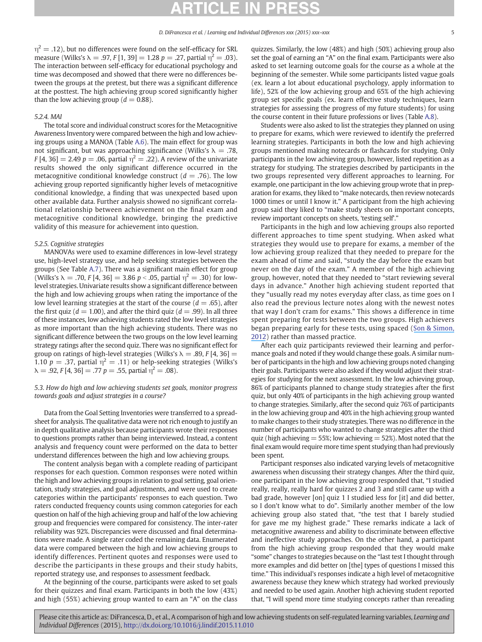$\eta^2 = 0.12$ ), but no differences were found on the self-efficacy for SRL measure (Wilks's  $\lambda = .97$ ,  $F[1, 39] = 1.28$   $p = .27$ , partial  $\eta^2 = .03$ ). The interaction between self-efficacy for educational psychology and time was decomposed and showed that there were no differences between the groups at the pretest, but there was a significant difference at the posttest. The high achieving group scored significantly higher than the low achieving group ( $d = 0.88$ ).

#### 5.2.4. MAI

The total score and individual construct scores for the Metacognitive Awareness Inventory were compared between the high and low achieving groups using a MANOA (Table A.6). The main effect for group was not significant, but was approaching significance (Wilks's  $\lambda = .78$ ,  $F[4, 36] = 2.49 p = .06$ , partial  $\eta^2 = .22$ ). A review of the univariate results showed the only significant difference occurred in the metacognitive conditional knowledge construct ( $d = .76$ ). The low achieving group reported significantly higher levels of metacognitive conditional knowledge, a finding that was unexpected based upon other available data. Further analysis showed no significant correlational relationship between achievement on the final exam and metacognitive conditional knowledge, bringing the predictive validity of this measure for achievement into question.

#### 5.2.5. Cognitive strategies

MANOVAs were used to examine differences in low-level strategy use, high-level strategy use, and help seeking strategies between the groups (See Table A.7). There was a significant main effect for group (Wilks's  $\lambda = .70$ , F [4, 36] = 3.86 p < .05, partial  $\eta^2 = .30$ ) for lowlevel strategies. Univariate results show a significant difference between the high and low achieving groups when rating the importance of the low level learning strategies at the start of the course ( $d = .65$ ), after the first quiz ( $d = 1.00$ ), and after the third quiz ( $d = .99$ ). In all three of these instances, low achieving students rated the low level strategies as more important than the high achieving students. There was no significant difference between the two groups on the low level learning strategy ratings after the second quiz. There was no significant effect for group on ratings of high-level strategies (Wilks's  $\lambda = .89$ ,  $F[4, 36] =$ 1.10 p = .37, partial  $\eta^2$  = .11) or help-seeking strategies (Wilks's  $\lambda = .92, F[4, 36] = .77$  p = .55, partial  $\eta^2 = .08$ ).

### 5.3. How do high and low achieving students set goals, monitor progress towards goals and adjust strategies in a course?

Data from the Goal Setting Inventories were transferred to a spreadsheet for analysis. The qualitative data were not rich enough to justify an in depth qualitative analysis because participants wrote their responses to questions prompts rather than being interviewed. Instead, a content analysis and frequency count were performed on the data to better understand differences between the high and low achieving groups.

The content analysis began with a complete reading of participant responses for each question. Common responses were noted within the high and low achieving groups in relation to goal setting, goal orientation, study strategies, and goal adjustments, and were used to create categories within the participants' responses to each question. Two raters conducted frequency counts using common categories for each question on half of the high achieving group and half of the low achieving group and frequencies were compared for consistency. The inter-rater reliability was 92%. Discrepancies were discussed and final determinations were made. A single rater coded the remaining data. Enumerated data were compared between the high and low achieving groups to identify differences. Pertinent quotes and responses were used to describe the participants in these groups and their study habits, reported strategy use, and responses to assessment feedback.

At the beginning of the course, participants were asked to set goals for their quizzes and final exam. Participants in both the low (43%) and high (55%) achieving group wanted to earn an "A" on the class quizzes. Similarly, the low (48%) and high (50%) achieving group also set the goal of earning an "A" on the final exam. Participants were also asked to set learning outcome goals for the course as a whole at the beginning of the semester. While some participants listed vague goals (ex. learn a lot about educational psychology, apply information to life), 52% of the low achieving group and 65% of the high achieving group set specific goals (ex. learn effective study techniques, learn strategies for assessing the progress of my future students) for using the course content in their future professions or lives (Table A.8).

Students were also asked to list the strategies they planned on using to prepare for exams, which were reviewed to identify the preferred learning strategies. Participants in both the low and high achieving groups mentioned making notecards or flashcards for studying. Only participants in the low achieving group, however, listed repetition as a strategy for studying. The strategies described by participants in the two groups represented very different approaches to learning. For example, one participant in the low achieving group wrote that in preparation for exams, they liked to "make notecards, then review notecards 1000 times or until I know it." A participant from the high achieving group said they liked to "make study sheets on important concepts, review important concepts on sheets, 'testing self'."

Participants in the high and low achieving groups also reported different approaches to time spent studying. When asked what strategies they would use to prepare for exams, a member of the low achieving group realized that they needed to prepare for the exam ahead of time and said, "study the day before the exam but never on the day of the exam." A member of the high achieving group, however, noted that they needed to "start reviewing several days in advance." Another high achieving student reported that they "usually read my notes everyday after class, as time goes on I also read the previous lecture notes along with the newest notes that way I don't cram for exams." This shows a difference in time spent preparing for tests between the two groups. High achievers began preparing early for these tests, using spaced ([Son & Simon,](https://www.researchgate.net/publication/271922215_Distributed_Learning_Data_Metacognition_and_Educational_Implications?el=1_x_8&enrichId=rgreq-41c79f884023829bac0215c08e508d0f-XXX&enrichSource=Y292ZXJQYWdlOzI4NzUwNTA5NTtBUzozMjM0NDQ5Njc3MDY2MjhAMTQ1NDEyNjY5NzU2Nw==) [2012](https://www.researchgate.net/publication/271922215_Distributed_Learning_Data_Metacognition_and_Educational_Implications?el=1_x_8&enrichId=rgreq-41c79f884023829bac0215c08e508d0f-XXX&enrichSource=Y292ZXJQYWdlOzI4NzUwNTA5NTtBUzozMjM0NDQ5Njc3MDY2MjhAMTQ1NDEyNjY5NzU2Nw==)) rather than massed practice.

After each quiz participants reviewed their learning and performance goals and noted if they would change these goals. A similar number of participants in the high and low achieving groups noted changing their goals. Participants were also asked if they would adjust their strategies for studying for the next assessment. In the low achieving group, 86% of participants planned to change study strategies after the first quiz, but only 40% of participants in the high achieving group wanted to change strategies. Similarly, after the second quiz 76% of participants in the low achieving group and 40% in the high achieving group wanted to make changes to their study strategies. There was no difference in the number of participants who wanted to change strategies after the third quiz (high achieving  $=$  55%; low achieving  $=$  52%). Most noted that the final exam would require more time spent studying than had previously been spent.

Participant responses also indicated varying levels of metacognitive awareness when discussing their strategy changes. After the third quiz, one participant in the low achieving group responded that, "I studied really, really, really hard for quizzes 2 and 3 and still came up with a bad grade, however [on] quiz 1 I studied less for [it] and did better, so I don't know what to do". Similarly another member of the low achieving group also stated that, "the test that I barely studied for gave me my highest grade." These remarks indicate a lack of metacognitive awareness and ability to discriminate between effective and ineffective study approaches. On the other hand, a participant from the high achieving group responded that they would make "some" changes to strategies because on the "last test I thought through more examples and did better on [the] types of questions I missed this time." This individual's responses indicate a high level of metacognitive awareness because they knew which strategy had worked previously and needed to be used again. Another high achieving student reported that, "I will spend more time studying concepts rather than rereading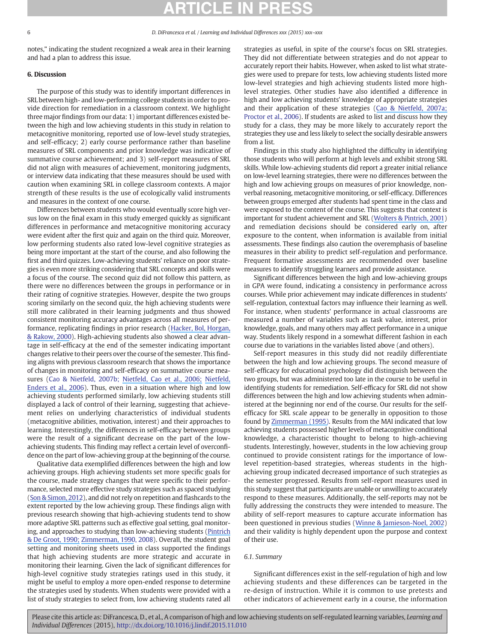notes," indicating the student recognized a weak area in their learning and had a plan to address this issue.

### 6. Discussion

The purpose of this study was to identify important differences in SRL between high- and low-performing college students in order to provide direction for remediation in a classroom context. We highlight three major findings from our data: 1) important differences existed between the high and low achieving students in this study in relation to metacognitive monitoring, reported use of low-level study strategies, and self-efficacy; 2) early course performance rather than baseline measures of SRL components and prior knowledge was indicative of summative course achievement; and 3) self-report measures of SRL did not align with measures of achievement, monitoring judgments, or interview data indicating that these measures should be used with caution when examining SRL in college classroom contexts. A major strength of these results is the use of ecologically valid instruments and measures in the context of one course.

Differences between students who would eventually score high versus low on the final exam in this study emerged quickly as significant differences in performance and metacognitive monitoring accuracy were evident after the first quiz and again on the third quiz. Moreover, low performing students also rated low-level cognitive strategies as being more important at the start of the course, and also following the first and third quizzes. Low-achieving students' reliance on poor strategies is even more striking considering that SRL concepts and skills were a focus of the course. The second quiz did not follow this pattern, as there were no differences between the groups in performance or in their rating of cognitive strategies. However, despite the two groups scoring similarly on the second quiz, the high achieving students were still more calibrated in their learning judgments and thus showed consistent monitoring accuracy advantages across all measures of performance, replicating findings in prior research [\(Hacker, Bol, Horgan,](https://www.researchgate.net/publication/232572499_Test_Prediction_and_Performance_in_a_Classroom_Context?el=1_x_8&enrichId=rgreq-41c79f884023829bac0215c08e508d0f-XXX&enrichSource=Y292ZXJQYWdlOzI4NzUwNTA5NTtBUzozMjM0NDQ5Njc3MDY2MjhAMTQ1NDEyNjY5NzU2Nw==) [& Rakow, 2000](https://www.researchgate.net/publication/232572499_Test_Prediction_and_Performance_in_a_Classroom_Context?el=1_x_8&enrichId=rgreq-41c79f884023829bac0215c08e508d0f-XXX&enrichSource=Y292ZXJQYWdlOzI4NzUwNTA5NTtBUzozMjM0NDQ5Njc3MDY2MjhAMTQ1NDEyNjY5NzU2Nw==)). High-achieving students also showed a clear advantage in self-efficacy at the end of the semester indicating important changes relative to their peers over the course of the semester. This finding aligns with previous classroom research that shows the importance of changes in monitoring and self-efficacy on summative course measures (Cao & Nietfeld, 2007b; [Nietfeld, Cao et al., 2006;](https://www.researchgate.net/publication/225339577_The_effect_of_distributed_monitoring_exercises_and_feedback_on_performance_monitoring_accuracy_and_self-efficacy_Metacognition_and_Learning_1_159-179?el=1_x_8&enrichId=rgreq-41c79f884023829bac0215c08e508d0f-XXX&enrichSource=Y292ZXJQYWdlOzI4NzUwNTA5NTtBUzozMjM0NDQ5Njc3MDY2MjhAMTQ1NDEyNjY5NzU2Nw==) [Nietfeld,](https://www.researchgate.net/publication/247728585_A_Monte_Carlo_Comparison_of_Measures_of_Relative_and_Absolute_Monitoring_Accuracy?el=1_x_8&enrichId=rgreq-41c79f884023829bac0215c08e508d0f-XXX&enrichSource=Y292ZXJQYWdlOzI4NzUwNTA5NTtBUzozMjM0NDQ5Njc3MDY2MjhAMTQ1NDEyNjY5NzU2Nw==) [Enders et al., 2006](https://www.researchgate.net/publication/247728585_A_Monte_Carlo_Comparison_of_Measures_of_Relative_and_Absolute_Monitoring_Accuracy?el=1_x_8&enrichId=rgreq-41c79f884023829bac0215c08e508d0f-XXX&enrichSource=Y292ZXJQYWdlOzI4NzUwNTA5NTtBUzozMjM0NDQ5Njc3MDY2MjhAMTQ1NDEyNjY5NzU2Nw==)). Thus, even in a situation where high and low achieving students performed similarly, low achieving students still displayed a lack of control of their learning, suggesting that achievement relies on underlying characteristics of individual students (metacognitive abilities, motivation, interest) and their approaches to learning. Interestingly, the differences in self-efficacy between groups were the result of a significant decrease on the part of the lowachieving students. This finding may reflect a certain level of overconfidence on the part of low-achieving group at the beginning of the course.

Qualitative data exemplified differences between the high and low achieving groups. High achieving students set more specific goals for the course, made strategy changes that were specific to their performance, selected more effective study strategies such as spaced studying ([Son & Simon, 2012](https://www.researchgate.net/publication/271922215_Distributed_Learning_Data_Metacognition_and_Educational_Implications?el=1_x_8&enrichId=rgreq-41c79f884023829bac0215c08e508d0f-XXX&enrichSource=Y292ZXJQYWdlOzI4NzUwNTA5NTtBUzozMjM0NDQ5Njc3MDY2MjhAMTQ1NDEyNjY5NzU2Nw==)), and did not rely on repetition and flashcards to the extent reported by the low achieving group. These findings align with previous research showing that high-achieving students tend to show more adaptive SRL patterns such as effective goal setting, goal monitoring, and approaches to studying than low-achieving students ([Pintrich](https://www.researchgate.net/publication/280758090_Motivational_and_Self-Regulated_Learning_Components_of_Classroom_Academic_Performance?el=1_x_8&enrichId=rgreq-41c79f884023829bac0215c08e508d0f-XXX&enrichSource=Y292ZXJQYWdlOzI4NzUwNTA5NTtBUzozMjM0NDQ5Njc3MDY2MjhAMTQ1NDEyNjY5NzU2Nw==) [& De Groot, 1990;](https://www.researchgate.net/publication/280758090_Motivational_and_Self-Regulated_Learning_Components_of_Classroom_Academic_Performance?el=1_x_8&enrichId=rgreq-41c79f884023829bac0215c08e508d0f-XXX&enrichSource=Y292ZXJQYWdlOzI4NzUwNTA5NTtBUzozMjM0NDQ5Njc3MDY2MjhAMTQ1NDEyNjY5NzU2Nw==) [Zimmerman, 1990](https://www.researchgate.net/publication/243775466_Self-Regulated_Learning_and_Academic_Achievement_An_Overview?el=1_x_8&enrichId=rgreq-41c79f884023829bac0215c08e508d0f-XXX&enrichSource=Y292ZXJQYWdlOzI4NzUwNTA5NTtBUzozMjM0NDQ5Njc3MDY2MjhAMTQ1NDEyNjY5NzU2Nw==), 2008). Overall, the student goal setting and monitoring sheets used in class supported the findings that high achieving students are more strategic and accurate in monitoring their learning. Given the lack of significant differences for high-level cognitive study strategies ratings used in this study, it might be useful to employ a more open-ended response to determine the strategies used by students. When students were provided with a list of study strategies to select from, low achieving students rated all strategies as useful, in spite of the course's focus on SRL strategies. They did not differentiate between strategies and do not appear to accurately report their habits. However, when asked to list what strategies were used to prepare for tests, low achieving students listed more low-level strategies and high achieving students listed more highlevel strategies. Other studies have also identified a difference in high and low achieving students' knowledge of appropriate strategies and their application of these strategies ([Cao & Nietfeld, 2007a;](https://www.researchgate.net/publication/289177554_College_students) Proctor et al., 2006). If students are asked to list and discuss how they study for a class, they may be more likely to accurately report the strategies they use and less likely to select the socially desirable answers from a list.

Findings in this study also highlighted the difficulty in identifying those students who will perform at high levels and exhibit strong SRL skills. While low-achieving students did report a greater initial reliance on low-level learning strategies, there were no differences between the high and low achieving groups on measures of prior knowledge, nonverbal reasoning, metacognitive monitoring, or self-efficacy. Differences between groups emerged after students had spent time in the class and were exposed to the content of the course. This suggests that context is important for student achievement and SRL ([Wolters & Pintrich, 2001](https://www.researchgate.net/publication/280745609_Contextual_differences_in_student_motivation_and_self-regulated_learning_in_mathematics_English_and_social_studies_classrooms?el=1_x_8&enrichId=rgreq-41c79f884023829bac0215c08e508d0f-XXX&enrichSource=Y292ZXJQYWdlOzI4NzUwNTA5NTtBUzozMjM0NDQ5Njc3MDY2MjhAMTQ1NDEyNjY5NzU2Nw==)) and remediation decisions should be considered early on, after exposure to the content, when information is available from initial assessments. These findings also caution the overemphasis of baseline measures in their ability to predict self-regulation and performance. Frequent formative assessments are recommended over baseline measures to identify struggling learners and provide assistance.

Significant differences between the high and low-achieving groups in GPA were found, indicating a consistency in performance across courses. While prior achievement may indicate differences in students' self-regulation, contextual factors may influence their learning as well. For instance, when students' performance in actual classrooms are measured a number of variables such as task value, interest, prior knowledge, goals, and many others may affect performance in a unique way. Students likely respond in a somewhat different fashion in each course due to variations in the variables listed above (and others).

Self-report measures in this study did not readily differentiate between the high and low achieving groups. The second measure of self-efficacy for educational psychology did distinguish between the two groups, but was administered too late in the course to be useful in identifying students for remediation. Self-efficacy for SRL did not show differences between the high and low achieving students when administered at the beginning nor end of the course. Our results for the selfefficacy for SRL scale appear to be generally in opposition to those found by [Zimmerman \(1995\)](https://www.researchgate.net/publication/261642497_Self-regulation_involves_more_than_metacognition_A_social_cognitive_perspective_Educational_Psychologist_30_217-221?el=1_x_8&enrichId=rgreq-41c79f884023829bac0215c08e508d0f-XXX&enrichSource=Y292ZXJQYWdlOzI4NzUwNTA5NTtBUzozMjM0NDQ5Njc3MDY2MjhAMTQ1NDEyNjY5NzU2Nw==). Results from the MAI indicated that low achieving students possessed higher levels of metacognitive conditional knowledge, a characteristic thought to belong to high-achieving students. Interestingly, however, students in the low achieving group continued to provide consistent ratings for the importance of lowlevel repetition-based strategies, whereas students in the highachieving group indicated decreased importance of such strategies as the semester progressed. Results from self-report measures used in this study suggest that participants are unable or unwilling to accurately respond to these measures. Additionally, the self-reports may not be fully addressing the constructs they were intended to measure. The ability of self-report measures to capture accurate information has been questioned in previous studies ([Winne & Jamieson-Noel, 2002](https://www.researchgate.net/publication/223562371_Exploring_students)) and their validity is highly dependent upon the purpose and context of their use.

### 6.1. Summary

Significant differences exist in the self-regulation of high and low achieving students and these differences can be targeted in the re-design of instruction. While it is common to use pretests and other indicators of achievement early in a course, the information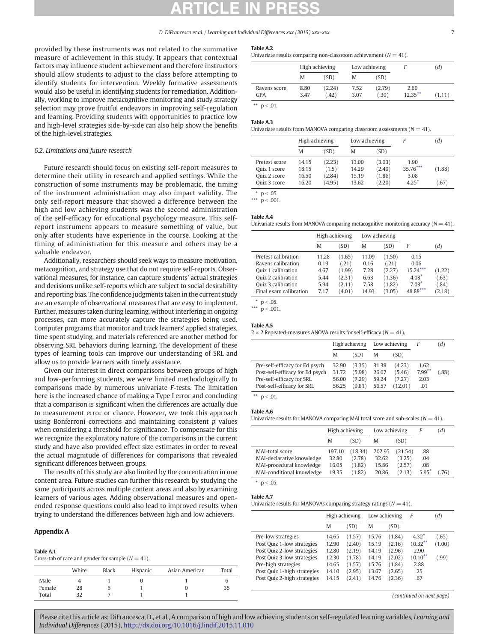#### D. DiFrancesca et al. / Learning and Individual Differences xxx (2015) xxx–xxx 7

provided by these instruments was not related to the summative measure of achievement in this study. It appears that contextual factors may influence student achievement and therefore instructors should allow students to adjust to the class before attempting to identify students for intervention. Weekly formative assessments would also be useful in identifying students for remediation. Additionally, working to improve metacognitive monitoring and study strategy selection may prove fruitful endeavors in improving self-regulation and learning. Providing students with opportunities to practice low and high-level strategies side-by-side can also help show the benefits of the high-level strategies.

#### 6.2. Limitations and future research

Future research should focus on existing self-report measures to determine their utility in research and applied settings. While the construction of some instruments may be problematic, the timing of the instrument administration may also impact validity. The only self-report measure that showed a difference between the high and low achieving students was the second administration of the self-efficacy for educational psychology measure. This selfreport instrument appears to measure something of value, but only after students have experience in the course. Looking at the timing of administration for this measure and others may be a valuable endeavor.

Additionally, researchers should seek ways to measure motivation, metacognition, and strategy use that do not require self-reports. Observational measures, for instance, can capture students' actual strategies and decisions unlike self-reports which are subject to social desirability and reporting bias. The confidence judgments taken in the current study are an example of observational measures that are easy to implement. Further, measures taken during learning, without interfering in ongoing processes, can more accurately capture the strategies being used. Computer programs that monitor and track learners' applied strategies, time spent studying, and materials referenced are another method for observing SRL behaviors during learning. The development of these types of learning tools can improve our understanding of SRL and allow us to provide learners with timely assistance.

Given our interest in direct comparisons between groups of high and low-performing students, we were limited methodologically to comparisons made by numerous univariate F-tests. The limitation here is the increased chance of making a Type I error and concluding that a comparison is significant when the differences are actually due to measurement error or chance. However, we took this approach using Bonferroni corrections and maintaining consistent  $p$  values when considering a threshold for significance. To compensate for this we recognize the exploratory nature of the comparisons in the current study and have also provided effect size estimates in order to reveal the actual magnitude of differences for comparisons that revealed significant differences between groups.

The results of this study are also limited by the concentration in one content area. Future studies can further this research by studying the same participants across multiple content areas and also by examining learners of various ages. Adding observational measures and openended response questions could also lead to improved results when trying to understand the differences between high and low achievers.

### Appendix A

#### Table A.1

Cross-tab of race and gender for sample  $(N = 41)$ .

|        | White | Black | Hispanic | Asian American | Total |
|--------|-------|-------|----------|----------------|-------|
| Male   |       |       |          |                |       |
| Female | 28    | n     |          |                | 35    |
| Total  | 32    |       |          |                |       |

### Table A.2

Univariate results comparing non-classroom achievement  $(N = 41)$ .

|                     | High achieving |                 |              | Low achieving   |                    | (d)    |
|---------------------|----------------|-----------------|--------------|-----------------|--------------------|--------|
|                     | M              | (SD)            | M            | (SD)            |                    |        |
| Ravens score<br>GPA | 8.80<br>3.47   | (2.24)<br>(.42) | 7.52<br>3.07 | (2.79)<br>(.30) | 2.60<br>$12.35***$ | (1.11) |
| **<br>$p < .01$ .   |                |                 |              |                 |                    |        |

#### Table A.3

Univariate results from MANOVA comparing classroom assessments  $(N = 41)$ .

|               | High achieving |        | Low achieving |        | F        | (d)    |
|---------------|----------------|--------|---------------|--------|----------|--------|
|               | M              | (SD)   | M             | (SD)   |          |        |
| Pretest score | 14.15          | (2.23) | 13.00         | (3.03) | 1.90     |        |
| Quiz 1 score  | 18.15          | (1.5)  | 14.29         | (2.49) | 35.76*** | (1.88) |
| Quiz 2 score  | 16.50          | (2.84) | 15.19         | (1.86) | 3.08     |        |
| Quiz 3 score  | 16.20          | (4.95) | 13.62         | (2.20) | $4.25*$  | (.67)  |

 $p < 0.05$ . \*\*\*  $p < .001$ .

#### Table A.4

Univariate results from MANOVA comparing metacognitive monitoring accuracy ( $N = 41$ ).

|                        | High achieving |        | Low achieving |        |            |        |
|------------------------|----------------|--------|---------------|--------|------------|--------|
|                        | M              | (SD)   | M             | (SD)   | F          | (d)    |
| Pretest calibration    | 11.28          | (1.65) | 11.09         | (1.50) | 0.15       | (1.22) |
| Ravens calibration     | 0.19           | (.21)  | 0.16          | (.21)  | 0.06       |        |
| Ouiz 1 calibration     | 4.67           | (1.99) | 7.28          | (2.27) | $15.24***$ |        |
| Ouiz 2 calibration     | 5.44           | (2.31) | 6.63          | (1.36) | $4.08*$    | (.63)  |
| Ouiz 3 calibration     | 5.94           | (2.11) | 7.58          | (1.82) | $7.03*$    | (.84)  |
| Final exam calibration | 7.17           | (4.01) | 14.93         | (3.05) | 48.88***   | (2.18) |

 $p < .05$ .

\*\*\*  $p < .001$ .

#### Table A.5

 $2 \times 2$  Repeated-measures ANOVA results for self-efficacy ( $N = 41$ ).

|                                 | High achieving |        | Low achieving |         | F         | (d)  |
|---------------------------------|----------------|--------|---------------|---------|-----------|------|
|                                 | M              | (SD)   | M             | (SD)    |           |      |
| Pre-self-efficacy for Ed psych  | 32.90          | (3.35) | 31.38         | (4.23)  | 1.62      |      |
| Post-self-efficacy for Ed psych | 31.72          | (5.98) | 26.67         | (5.46)  | $7.99***$ | .88) |
| Pre-self-efficacy for SRL       | 56.00          | (7.29) | 59.24         | (7.27)  | 2.03      |      |
| Post-self-efficacy for SRL      | 56.25          | (9.81) | 56.57         | (12.01) | .01       |      |

\*\*  $p < .01$ .

#### Table A.6

Univariate results for MANOVA comparing MAI total score and sub-scales ( $N = 41$ ).

|                           | High achieving |         | Low achieving |         | F       | (d)  |
|---------------------------|----------------|---------|---------------|---------|---------|------|
|                           | M              | (SD)    | M             | (SD)    |         |      |
| MAI-total score           | 197.10         | (18.34) | 202.95        | (21.54) | .88     |      |
| MAI-declarative knowledge | 32.80          | (2.78)  | 32.62         | (3.25)  | .04     |      |
| MAI-procedural knowledge  | 16.05          | (1.82)  | 15.86         | (2.57)  | .08     |      |
| MAI-conditional knowledge | 19.35          | (1.82)  | 20.86         | (2.13)  | $5.95*$ | .76) |
| < 0.05.                   |                |         |               |         |         |      |

### Table A.7

Univariate results for MANOVAs comparing strategy ratings  $(N = 41)$ .

|                             | High achieving |        | Low achieving |        | F          | (d)    |
|-----------------------------|----------------|--------|---------------|--------|------------|--------|
|                             | M              | (SD)   | M             | (SD)   |            |        |
| Pre-low strategies          | 14.65          | (1.57) | 15.76         | (1.84) | $4.32*$    | (.65)  |
| Post Quiz 1-low strategies  | 12.90          | (2.40) | 15.19         | (2.16) | $10.32***$ | (1.00) |
| Post Quiz 2-low strategies  | 12.80          | (2.19) | 14.19         | (2.96) | 2.90       |        |
| Post Quiz 3-low strategies  | 12.30          | (1.78) | 14.19         | (2.02) | $10.10***$ | (.99)  |
| Pre-high strategies         | 14.65          | (1.57) | 15.76         | (1.84) | 2.88       |        |
| Post Quiz 1-high strategies | 14.10          | (2.95) | 13.67         | (2.65) | .25        |        |
| Post Quiz 2-high strategies | 14.15          | (2.41) | 14.76         | (2.36) | .67        |        |

<sup>(</sup>continued on next page)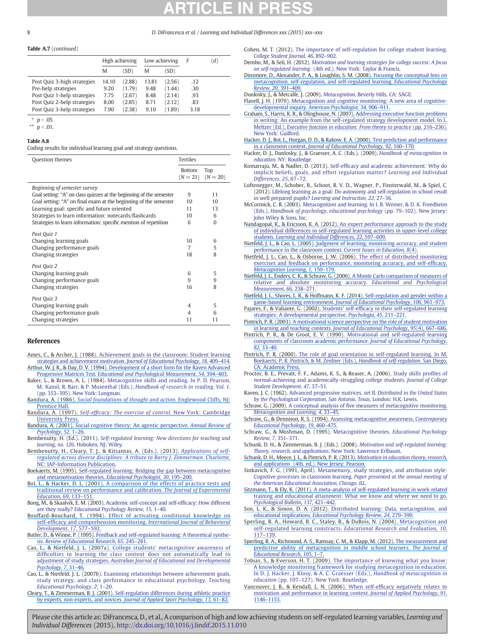#### 8 D. DiFrancesca et al. / Learning and Individual Differences xxx (2015) xxx–xxx

#### Table A.7 (continued)

|                                                    | High achieving |                  | Low achieving |                  | F           | (d) |
|----------------------------------------------------|----------------|------------------|---------------|------------------|-------------|-----|
|                                                    | M              | `SD)             | M             | (SD)             |             |     |
| Post Quiz 3-high strategies                        | 14.10          | (2.88)           | 13.81         | (2.56)           | .12         |     |
| Post Quiz 1-help strategies                        | 7.75           | (2.67)           | 8.48          | (2.14)           | .93         |     |
| Post Quiz 2-help strategies                        | 8.00           | (2.85)           | 8.71          | (2.12)           | .83         |     |
| Pre-help strategies<br>Post Quiz 3-help strategies | 9.20<br>7.90   | (1.79)<br>(2.38) | 9.48<br>9.10  | (1.44)<br>(1.89) | .30<br>3.18 |     |

 $p < .05$ .

\*\*  $p < .01$ .

#### Table A.8

Coding results for individual learning goal and strategy questions.

| <b>Question themes</b>                                                                                                                                                                                                                                                                                                                             | <b>Tertiles</b>             |                                 |
|----------------------------------------------------------------------------------------------------------------------------------------------------------------------------------------------------------------------------------------------------------------------------------------------------------------------------------------------------|-----------------------------|---------------------------------|
|                                                                                                                                                                                                                                                                                                                                                    | <b>Bottom</b><br>$(N = 21)$ | Top<br>$(N = 20)$               |
| Beginning of semester survey<br>Goal setting: "A" on class quizzes at the beginning of the semester<br>Goal setting: "A" on final exam at the beginning of the semester<br>Learning goal: specific and future oriented<br>Strategies to learn information: notecards/flashcards<br>Strategies to learn information: specific mention of repetition | 9<br>10<br>11<br>10<br>6    | 11<br>10<br>13<br>6<br>$\Omega$ |
| Post Quiz 1<br>Changing learning goals<br>Changing performance goals<br>Changing strategies                                                                                                                                                                                                                                                        | 10<br>7<br>18               | 6<br>5<br>8                     |
| Post Quiz 2<br>Changing learning goals<br>Changing performance goals<br>Changing strategies                                                                                                                                                                                                                                                        | 6<br>9<br>16                | 5<br>9<br>8                     |
| Post Quiz 3<br>Changing learning goals<br>Changing performance goals<br>Changing strategies                                                                                                                                                                                                                                                        | 4<br>4<br>11                | 5<br>6<br>11                    |

#### References

Ames, C., & Archer, J. (1988). [A](https://www.researchgate.net/publication/232595363_Achievement_Goals_in_the_Classroom_Students)[chievement goals in the classroom: Student learning](http://refhub.elsevier.com/S1041-6080(15)30013-3/rf0010) [strategies and achievement motivation.](http://refhub.elsevier.com/S1041-6080(15)30013-3/rf0010) Journal of Educational Psychology, 18, 409–414. Arthur, W. J. R., & Day, D. V. (1994). [D](https://www.researchgate.net/publication/247728106_Development_of_a_Short_form_for_the_Raven_Advanced_Progressive_Matrices_Test?el=1_x_8&enrichId=rgreq-41c79f884023829bac0215c08e508d0f-XXX&enrichSource=Y292ZXJQYWdlOzI4NzUwNTA5NTtBUzozMjM0NDQ5Njc3MDY2MjhAMTQ1NDEyNjY5NzU2Nw==)[evelopment of a short form for the Raven Advanced](http://refhub.elsevier.com/S1041-6080(15)30013-3/rf0015) Progressive Matrices Test. [Educational and Psychological Measurement](http://refhub.elsevier.com/S1041-6080(15)30013-3/rf0015), 54, 394–403.

Baker, L., & Brown, A. L. (1984). [Metacognitive skills and reading. In P. D. Pearson,](http://refhub.elsevier.com/S1041-6080(15)30013-3/rf0020) [M. Kamil, R. Barr, & P. Mosenthal \(Eds.\),](http://refhub.elsevier.com/S1041-6080(15)30013-3/rf0020) Handbook of research in reading. Vol. 1.

- (pp. 353–[395\). New York: Longman.](http://refhub.elsevier.com/S1041-6080(15)30013-3/rf0020) Bandura, A. (1986). [S](https://www.researchgate.net/publication/242416080_The_Social_Foundations_of_Thought_and_Action?el=1_x_8&enrichId=rgreq-41c79f884023829bac0215c08e508d0f-XXX&enrichSource=Y292ZXJQYWdlOzI4NzUwNTA5NTtBUzozMjM0NDQ5Njc3MDY2MjhAMTQ1NDEyNjY5NzU2Nw==)[ocial foundations of thought and action.](http://refhub.elsevier.com/S1041-6080(15)30013-3/rf0025) Englewood Cliffs, NJ: [Prentice Hall.](http://refhub.elsevier.com/S1041-6080(15)30013-3/rf0025)
- Bandura, A. (1997). Self-effi[cacy: The exercise of control.](http://refhub.elsevier.com/S1041-6080(15)30013-3/rf0030) New York: Cambridge [University Press.](http://refhub.elsevier.com/S1041-6080(15)30013-3/rf0030)
- Bandura, A. (2001). [Social cognitive theory: An agentic perspective.](http://refhub.elsevier.com/S1041-6080(15)30013-3/rf0035) Annual Review of [Psychology](http://refhub.elsevier.com/S1041-6080(15)30013-3/rf0035), 52, 1–26.
- Bembenutty, H. (Ed.). (2011). [Self-regulated learning: New directions for teaching and](http://refhub.elsevier.com/S1041-6080(15)30013-3/rf0040) learning, no. 126[. Hoboken, NJ: Wiley.](http://refhub.elsevier.com/S1041-6080(15)30013-3/rf0040)
- [Bembenutty, H., Cleary, T. J., & Kitsantas, A. \(Eds.\). \(2013\).](https://www.researchgate.net/publication/281465086_Applications_of_self-regulated_learning_across_diverse_disciplines_A_tribute_to_Barry_J_Zimmerman?el=1_x_8&enrichId=rgreq-41c79f884023829bac0215c08e508d0f-XXX&enrichSource=Y292ZXJQYWdlOzI4NzUwNTA5NTtBUzozMjM0NDQ5Njc3MDY2MjhAMTQ1NDEyNjY5NzU2Nw==) [Applications of self](http://refhub.elsevier.com/S1041-6080(15)30013-3/rf0045)[regulated across diverse disciplines: A tribute to Barry J. Zimmerman](http://refhub.elsevier.com/S1041-6080(15)30013-3/rf0045). Charlotte, [NC: IAP-Information Publication.](http://refhub.elsevier.com/S1041-6080(15)30013-3/rf0045)
- Boekaerts, M. (1995). [Self-regulated](https://www.researchgate.net/publication/240240895_Self-regulated_learning_Bridging_the_gap_between_metacognitive_and_metamotivation_theories?el=1_x_8&enrichId=rgreq-41c79f884023829bac0215c08e508d0f-XXX&enrichSource=Y292ZXJQYWdlOzI4NzUwNTA5NTtBUzozMjM0NDQ5Njc3MDY2MjhAMTQ1NDEyNjY5NzU2Nw==)[learning:](https://www.researchgate.net/publication/240240895_Self-regulated_learning_Bridging_the_gap_between_metacognitive_and_metamotivation_theories?el=1_x_8&enrichId=rgreq-41c79f884023829bac0215c08e508d0f-XXX&enrichSource=Y292ZXJQYWdlOzI4NzUwNTA5NTtBUzozMjM0NDQ5Njc3MDY2MjhAMTQ1NDEyNjY5NzU2Nw==)[Bridging](https://www.researchgate.net/publication/240240895_Self-regulated_learning_Bridging_the_gap_between_metacognitive_and_metamotivation_theories?el=1_x_8&enrichId=rgreq-41c79f884023829bac0215c08e508d0f-XXX&enrichSource=Y292ZXJQYWdlOzI4NzUwNTA5NTtBUzozMjM0NDQ5Njc3MDY2MjhAMTQ1NDEyNjY5NzU2Nw==)[the](https://www.researchgate.net/publication/240240895_Self-regulated_learning_Bridging_the_gap_between_metacognitive_and_metamotivation_theories?el=1_x_8&enrichId=rgreq-41c79f884023829bac0215c08e508d0f-XXX&enrichSource=Y292ZXJQYWdlOzI4NzUwNTA5NTtBUzozMjM0NDQ5Njc3MDY2MjhAMTQ1NDEyNjY5NzU2Nw==)[gap](https://www.researchgate.net/publication/240240895_Self-regulated_learning_Bridging_the_gap_between_metacognitive_and_metamotivation_theories?el=1_x_8&enrichId=rgreq-41c79f884023829bac0215c08e508d0f-XXX&enrichSource=Y292ZXJQYWdlOzI4NzUwNTA5NTtBUzozMjM0NDQ5Njc3MDY2MjhAMTQ1NDEyNjY5NzU2Nw==)[between](https://www.researchgate.net/publication/240240895_Self-regulated_learning_Bridging_the_gap_between_metacognitive_and_metamotivation_theories?el=1_x_8&enrichId=rgreq-41c79f884023829bac0215c08e508d0f-XXX&enrichSource=Y292ZXJQYWdlOzI4NzUwNTA5NTtBUzozMjM0NDQ5Njc3MDY2MjhAMTQ1NDEyNjY5NzU2Nw==)[metacognitive](https://www.researchgate.net/publication/240240895_Self-regulated_learning_Bridging_the_gap_between_metacognitive_and_metamotivation_theories?el=1_x_8&enrichId=rgreq-41c79f884023829bac0215c08e508d0f-XXX&enrichSource=Y292ZXJQYWdlOzI4NzUwNTA5NTtBUzozMjM0NDQ5Njc3MDY2MjhAMTQ1NDEyNjY5NzU2Nw==) [and](https://www.researchgate.net/publication/240240895_Self-regulated_learning_Bridging_the_gap_between_metacognitive_and_metamotivation_theories?el=1_x_8&enrichId=rgreq-41c79f884023829bac0215c08e508d0f-XXX&enrichSource=Y292ZXJQYWdlOzI4NzUwNTA5NTtBUzozMjM0NDQ5Njc3MDY2MjhAMTQ1NDEyNjY5NzU2Nw==)[metamotivation](https://www.researchgate.net/publication/240240895_Self-regulated_learning_Bridging_the_gap_between_metacognitive_and_metamotivation_theories?el=1_x_8&enrichId=rgreq-41c79f884023829bac0215c08e508d0f-XXX&enrichSource=Y292ZXJQYWdlOzI4NzUwNTA5NTtBUzozMjM0NDQ5Njc3MDY2MjhAMTQ1NDEyNjY5NzU2Nw==)[theories.](https://www.researchgate.net/publication/240240895_Self-regulated_learning_Bridging_the_gap_between_metacognitive_and_metamotivation_theories?el=1_x_8&enrichId=rgreq-41c79f884023829bac0215c08e508d0f-XXX&enrichSource=Y292ZXJQYWdlOzI4NzUwNTA5NTtBUzozMjM0NDQ5Njc3MDY2MjhAMTQ1NDEyNjY5NzU2Nw==) Educational Psychologist, 30, 195–200.
- Bol, L., & Hacker, D. L. (2001). [A](https://www.researchgate.net/publication/249038719_A_Comparison_of_the_Effects_of_Practice_Tests_and_Traditional_Review_on_Performance_and_Calibration?el=1_x_8&enrichId=rgreq-41c79f884023829bac0215c08e508d0f-XXX&enrichSource=Y292ZXJQYWdlOzI4NzUwNTA5NTtBUzozMjM0NDQ5Njc3MDY2MjhAMTQ1NDEyNjY5NzU2Nw==)[comparison](https://www.researchgate.net/publication/249038719_A_Comparison_of_the_Effects_of_Practice_Tests_and_Traditional_Review_on_Performance_and_Calibration?el=1_x_8&enrichId=rgreq-41c79f884023829bac0215c08e508d0f-XXX&enrichSource=Y292ZXJQYWdlOzI4NzUwNTA5NTtBUzozMjM0NDQ5Njc3MDY2MjhAMTQ1NDEyNjY5NzU2Nw==)[of](https://www.researchgate.net/publication/249038719_A_Comparison_of_the_Effects_of_Practice_Tests_and_Traditional_Review_on_Performance_and_Calibration?el=1_x_8&enrichId=rgreq-41c79f884023829bac0215c08e508d0f-XXX&enrichSource=Y292ZXJQYWdlOzI4NzUwNTA5NTtBUzozMjM0NDQ5Njc3MDY2MjhAMTQ1NDEyNjY5NzU2Nw==)[the](https://www.researchgate.net/publication/249038719_A_Comparison_of_the_Effects_of_Practice_Tests_and_Traditional_Review_on_Performance_and_Calibration?el=1_x_8&enrichId=rgreq-41c79f884023829bac0215c08e508d0f-XXX&enrichSource=Y292ZXJQYWdlOzI4NzUwNTA5NTtBUzozMjM0NDQ5Njc3MDY2MjhAMTQ1NDEyNjY5NzU2Nw==)[effects](https://www.researchgate.net/publication/249038719_A_Comparison_of_the_Effects_of_Practice_Tests_and_Traditional_Review_on_Performance_and_Calibration?el=1_x_8&enrichId=rgreq-41c79f884023829bac0215c08e508d0f-XXX&enrichSource=Y292ZXJQYWdlOzI4NzUwNTA5NTtBUzozMjM0NDQ5Njc3MDY2MjhAMTQ1NDEyNjY5NzU2Nw==)[of](https://www.researchgate.net/publication/249038719_A_Comparison_of_the_Effects_of_Practice_Tests_and_Traditional_Review_on_Performance_and_Calibration?el=1_x_8&enrichId=rgreq-41c79f884023829bac0215c08e508d0f-XXX&enrichSource=Y292ZXJQYWdlOzI4NzUwNTA5NTtBUzozMjM0NDQ5Njc3MDY2MjhAMTQ1NDEyNjY5NzU2Nw==)[practice](https://www.researchgate.net/publication/249038719_A_Comparison_of_the_Effects_of_Practice_Tests_and_Traditional_Review_on_Performance_and_Calibration?el=1_x_8&enrichId=rgreq-41c79f884023829bac0215c08e508d0f-XXX&enrichSource=Y292ZXJQYWdlOzI4NzUwNTA5NTtBUzozMjM0NDQ5Njc3MDY2MjhAMTQ1NDEyNjY5NzU2Nw==)[tests](https://www.researchgate.net/publication/249038719_A_Comparison_of_the_Effects_of_Practice_Tests_and_Traditional_Review_on_Performance_and_Calibration?el=1_x_8&enrichId=rgreq-41c79f884023829bac0215c08e508d0f-XXX&enrichSource=Y292ZXJQYWdlOzI4NzUwNTA5NTtBUzozMjM0NDQ5Njc3MDY2MjhAMTQ1NDEyNjY5NzU2Nw==)[and](https://www.researchgate.net/publication/249038719_A_Comparison_of_the_Effects_of_Practice_Tests_and_Traditional_Review_on_Performance_and_Calibration?el=1_x_8&enrichId=rgreq-41c79f884023829bac0215c08e508d0f-XXX&enrichSource=Y292ZXJQYWdlOzI4NzUwNTA5NTtBUzozMjM0NDQ5Njc3MDY2MjhAMTQ1NDEyNjY5NzU2Nw==) [traditional](https://www.researchgate.net/publication/249038719_A_Comparison_of_the_Effects_of_Practice_Tests_and_Traditional_Review_on_Performance_and_Calibration?el=1_x_8&enrichId=rgreq-41c79f884023829bac0215c08e508d0f-XXX&enrichSource=Y292ZXJQYWdlOzI4NzUwNTA5NTtBUzozMjM0NDQ5Njc3MDY2MjhAMTQ1NDEyNjY5NzU2Nw==)[review](https://www.researchgate.net/publication/249038719_A_Comparison_of_the_Effects_of_Practice_Tests_and_Traditional_Review_on_Performance_and_Calibration?el=1_x_8&enrichId=rgreq-41c79f884023829bac0215c08e508d0f-XXX&enrichSource=Y292ZXJQYWdlOzI4NzUwNTA5NTtBUzozMjM0NDQ5Njc3MDY2MjhAMTQ1NDEyNjY5NzU2Nw==)[on](https://www.researchgate.net/publication/249038719_A_Comparison_of_the_Effects_of_Practice_Tests_and_Traditional_Review_on_Performance_and_Calibration?el=1_x_8&enrichId=rgreq-41c79f884023829bac0215c08e508d0f-XXX&enrichSource=Y292ZXJQYWdlOzI4NzUwNTA5NTtBUzozMjM0NDQ5Njc3MDY2MjhAMTQ1NDEyNjY5NzU2Nw==)[performance](https://www.researchgate.net/publication/249038719_A_Comparison_of_the_Effects_of_Practice_Tests_and_Traditional_Review_on_Performance_and_Calibration?el=1_x_8&enrichId=rgreq-41c79f884023829bac0215c08e508d0f-XXX&enrichSource=Y292ZXJQYWdlOzI4NzUwNTA5NTtBUzozMjM0NDQ5Njc3MDY2MjhAMTQ1NDEyNjY5NzU2Nw==)[and](https://www.researchgate.net/publication/249038719_A_Comparison_of_the_Effects_of_Practice_Tests_and_Traditional_Review_on_Performance_and_Calibration?el=1_x_8&enrichId=rgreq-41c79f884023829bac0215c08e508d0f-XXX&enrichSource=Y292ZXJQYWdlOzI4NzUwNTA5NTtBUzozMjM0NDQ5Njc3MDY2MjhAMTQ1NDEyNjY5NzU2Nw==)[calibration.](https://www.researchgate.net/publication/249038719_A_Comparison_of_the_Effects_of_Practice_Tests_and_Traditional_Review_on_Performance_and_Calibration?el=1_x_8&enrichId=rgreq-41c79f884023829bac0215c08e508d0f-XXX&enrichSource=Y292ZXJQYWdlOzI4NzUwNTA5NTtBUzozMjM0NDQ5Njc3MDY2MjhAMTQ1NDEyNjY5NzU2Nw==) The Journal of Experimental [Education](https://www.researchgate.net/publication/249038719_A_Comparison_of_the_Effects_of_Practice_Tests_and_Traditional_Review_on_Performance_and_Calibration?el=1_x_8&enrichId=rgreq-41c79f884023829bac0215c08e508d0f-XXX&enrichSource=Y292ZXJQYWdlOzI4NzUwNTA5NTtBUzozMjM0NDQ5Njc3MDY2MjhAMTQ1NDEyNjY5NzU2Nw==), 69, 133–151.
- Bong, M., & Skaalvik, E. M. (2003). [Academic self-concept and self-ef](http://refhub.elsevier.com/S1041-6080(15)30013-3/rf0060)ficacy: How different are they really? [Educational Psychology Review](http://refhub.elsevier.com/S1041-6080(15)30013-3/rf0060), 15, 1–40.
- Bouffard-Bouchard, T. (1994). [Effect](https://www.researchgate.net/publication/254110554_Effect_of_Activating_Conditional_Knowledge_on_Self-efficacy_and_Comprehension_Monitoring?el=1_x_8&enrichId=rgreq-41c79f884023829bac0215c08e508d0f-XXX&enrichSource=Y292ZXJQYWdlOzI4NzUwNTA5NTtBUzozMjM0NDQ5Njc3MDY2MjhAMTQ1NDEyNjY5NzU2Nw==)[of](https://www.researchgate.net/publication/254110554_Effect_of_Activating_Conditional_Knowledge_on_Self-efficacy_and_Comprehension_Monitoring?el=1_x_8&enrichId=rgreq-41c79f884023829bac0215c08e508d0f-XXX&enrichSource=Y292ZXJQYWdlOzI4NzUwNTA5NTtBUzozMjM0NDQ5Njc3MDY2MjhAMTQ1NDEyNjY5NzU2Nw==)[activating](https://www.researchgate.net/publication/254110554_Effect_of_Activating_Conditional_Knowledge_on_Self-efficacy_and_Comprehension_Monitoring?el=1_x_8&enrichId=rgreq-41c79f884023829bac0215c08e508d0f-XXX&enrichSource=Y292ZXJQYWdlOzI4NzUwNTA5NTtBUzozMjM0NDQ5Njc3MDY2MjhAMTQ1NDEyNjY5NzU2Nw==)[conditional](https://www.researchgate.net/publication/254110554_Effect_of_Activating_Conditional_Knowledge_on_Self-efficacy_and_Comprehension_Monitoring?el=1_x_8&enrichId=rgreq-41c79f884023829bac0215c08e508d0f-XXX&enrichSource=Y292ZXJQYWdlOzI4NzUwNTA5NTtBUzozMjM0NDQ5Njc3MDY2MjhAMTQ1NDEyNjY5NzU2Nw==)[knowledge](https://www.researchgate.net/publication/254110554_Effect_of_Activating_Conditional_Knowledge_on_Self-efficacy_and_Comprehension_Monitoring?el=1_x_8&enrichId=rgreq-41c79f884023829bac0215c08e508d0f-XXX&enrichSource=Y292ZXJQYWdlOzI4NzUwNTA5NTtBUzozMjM0NDQ5Njc3MDY2MjhAMTQ1NDEyNjY5NzU2Nw==)[on](https://www.researchgate.net/publication/254110554_Effect_of_Activating_Conditional_Knowledge_on_Self-efficacy_and_Comprehension_Monitoring?el=1_x_8&enrichId=rgreq-41c79f884023829bac0215c08e508d0f-XXX&enrichSource=Y292ZXJQYWdlOzI4NzUwNTA5NTtBUzozMjM0NDQ5Njc3MDY2MjhAMTQ1NDEyNjY5NzU2Nw==) self-effi[cacy](https://www.researchgate.net/publication/254110554_Effect_of_Activating_Conditional_Knowledge_on_Self-efficacy_and_Comprehension_Monitoring?el=1_x_8&enrichId=rgreq-41c79f884023829bac0215c08e508d0f-XXX&enrichSource=Y292ZXJQYWdlOzI4NzUwNTA5NTtBUzozMjM0NDQ5Njc3MDY2MjhAMTQ1NDEyNjY5NzU2Nw==)[and](https://www.researchgate.net/publication/254110554_Effect_of_Activating_Conditional_Knowledge_on_Self-efficacy_and_Comprehension_Monitoring?el=1_x_8&enrichId=rgreq-41c79f884023829bac0215c08e508d0f-XXX&enrichSource=Y292ZXJQYWdlOzI4NzUwNTA5NTtBUzozMjM0NDQ5Njc3MDY2MjhAMTQ1NDEyNjY5NzU2Nw==)[comprehension](https://www.researchgate.net/publication/254110554_Effect_of_Activating_Conditional_Knowledge_on_Self-efficacy_and_Comprehension_Monitoring?el=1_x_8&enrichId=rgreq-41c79f884023829bac0215c08e508d0f-XXX&enrichSource=Y292ZXJQYWdlOzI4NzUwNTA5NTtBUzozMjM0NDQ5Njc3MDY2MjhAMTQ1NDEyNjY5NzU2Nw==)[monitoring.](https://www.researchgate.net/publication/254110554_Effect_of_Activating_Conditional_Knowledge_on_Self-efficacy_and_Comprehension_Monitoring?el=1_x_8&enrichId=rgreq-41c79f884023829bac0215c08e508d0f-XXX&enrichSource=Y292ZXJQYWdlOzI4NzUwNTA5NTtBUzozMjM0NDQ5Njc3MDY2MjhAMTQ1NDEyNjY5NzU2Nw==) International Journal of Behavioral [Development](http://refhub.elsevier.com/S1041-6080(15)30013-3/rf0065), 17, 577–592.
- Butler, D., & Winne, P. (1995). [F](https://www.researchgate.net/publication/243774262_Feedback_and_Self-Regulated_Learning_A_Theoretical_Synthesis?el=1_x_8&enrichId=rgreq-41c79f884023829bac0215c08e508d0f-XXX&enrichSource=Y292ZXJQYWdlOzI4NzUwNTA5NTtBUzozMjM0NDQ5Njc3MDY2MjhAMTQ1NDEyNjY5NzU2Nw==)[eedback and self-regulated learning: A theoretical synthe](http://refhub.elsevier.com/S1041-6080(15)30013-3/rf0070)sis. [Review of Educational Research](http://refhub.elsevier.com/S1041-6080(15)30013-3/rf0070), 65, 245–281.
- Cao, L., & Nietfeld, J. L. (2007a). [College students' metacognitive awareness of](http://refhub.elsevier.com/S1041-6080(15)30013-3/rf0075) diffi[culties in learning the class content does not automatically lead to](http://refhub.elsevier.com/S1041-6080(15)30013-3/rf0075) adjustment of study strategies. [Australian Journal of Educational and Developmental](http://refhub.elsevier.com/S1041-6080(15)30013-3/rf0075) [Psychology](http://refhub.elsevier.com/S1041-6080(15)30013-3/rf0075), 7, 31–46.
- Cao, L., & Nietfeld, J. L. (2007b). [Examining relationships between achievement goals,](http://refhub.elsevier.com/S1041-6080(15)30013-3/rf0080) [study strategy, and class performance in educational psychology.](http://refhub.elsevier.com/S1041-6080(15)30013-3/rf0080) Teaching [Educational Psychology](http://refhub.elsevier.com/S1041-6080(15)30013-3/rf0080), 2, 1–20.
- Cleary, T., & Zimmerman, B. J. (2001). [Self-regulation differences during athletic practice](http://refhub.elsevier.com/S1041-6080(15)30013-3/rf0085) [by experts, non-experts, and novices.](http://refhub.elsevier.com/S1041-6080(15)30013-3/rf0085) Journal of Applied Sport Psychology, 13, 61–82.
- Cohen, M. T. (2012). [The importance of self-regulation for college student learning.](http://refhub.elsevier.com/S1041-6080(15)30013-3/rf0090) [College Student Journal](http://refhub.elsevier.com/S1041-6080(15)30013-3/rf0090), 46, 892–902.
- Dembo, M., & Seli, H. (2012). [Motivation and learning strategies for college success: A focus](http://refhub.elsevier.com/S1041-6080(15)30013-3/rf0095) on self-regulated learning [\(4th ed.\). New York: Taylor & Francis.](http://refhub.elsevier.com/S1041-6080(15)30013-3/rf0095) [Dinsmore, D., Alexander, P. A., & Loughlin, S. M. \(2008\).](https://www.researchgate.net/publication/225715021_Focusing_the_Conceptual_Lens_on_Metacognition_Self-regulation_and_Self-regulated_Learning?el=1_x_8&enrichId=rgreq-41c79f884023829bac0215c08e508d0f-XXX&enrichSource=Y292ZXJQYWdlOzI4NzUwNTA5NTtBUzozMjM0NDQ5Njc3MDY2MjhAMTQ1NDEyNjY5NzU2Nw==) [Focusing the conceptual lens on](http://refhub.elsevier.com/S1041-6080(15)30013-3/rf0100)
- [metacognition, self-regulation, and self-regulated learning.](http://refhub.elsevier.com/S1041-6080(15)30013-3/rf0100) Educational Psychology [Review](http://refhub.elsevier.com/S1041-6080(15)30013-3/rf0100), 20, 391–409.
- Dunlosky, J., & Metcalfe, J. (2009). Metacognition. [Beverly Hills, CA: SAGE.](http://refhub.elsevier.com/S1041-6080(15)30013-3/rf0105)
- Flavell, J. H. (1979). [Metacognition and cognitive monitoring: A new area of cognitive](http://refhub.elsevier.com/S1041-6080(15)30013-3/rf0135)[developmental inquiry.](http://refhub.elsevier.com/S1041-6080(15)30013-3/rf0135) American Psychologist, 34, 906–911. [Graham, S., Harris, K. R., & Olinghouse, N. \(2007\).](https://www.researchgate.net/publication/292019765_Addressing_executive_function_problems_in_writing_An_example_from_the_self-regulated_strategy_development_model?el=1_x_8&enrichId=rgreq-41c79f884023829bac0215c08e508d0f-XXX&enrichSource=Y292ZXJQYWdlOzI4NzUwNTA5NTtBUzozMjM0NDQ5Njc3MDY2MjhAMTQ1NDEyNjY5NzU2Nw==) [Addressing executive function problems](http://refhub.elsevier.com/S1041-6080(15)30013-3/rf0140)
- [in writing: An example from the self-regulated strategy development model. In L.](http://refhub.elsevier.com/S1041-6080(15)30013-3/rf0140) Meltzer (Ed.), [Executive function in education: From theory to practice](http://refhub.elsevier.com/S1041-6080(15)30013-3/rf0140) (pp. 216–236). [New York: Guilford.](http://refhub.elsevier.com/S1041-6080(15)30013-3/rf0140)
- [Hacker, D. J., Bol, L., Horgan, D. D., & Rakow, E. A. \(2000\).](https://www.researchgate.net/publication/232572499_Test_Prediction_and_Performance_in_a_Classroom_Context?el=1_x_8&enrichId=rgreq-41c79f884023829bac0215c08e508d0f-XXX&enrichSource=Y292ZXJQYWdlOzI4NzUwNTA5NTtBUzozMjM0NDQ5Njc3MDY2MjhAMTQ1NDEyNjY5NzU2Nw==) [Test prediction and performance](http://refhub.elsevier.com/S1041-6080(15)30013-3/rf0145) in a classroom context. [Journal of Educational Psychology](http://refhub.elsevier.com/S1041-6080(15)30013-3/rf0145), 92, 160–170.
- Hacker, D. J., Dunlosky, J., & Graesser, A. C. (Eds.). (2009). [Handbook of metacognition in](http://refhub.elsevier.com/S1041-6080(15)30013-3/rf0150) education[. NY: Routledge.](http://refhub.elsevier.com/S1041-6080(15)30013-3/rf0150)
- Komarraju, M., & Nadler, D. (2013). Self-effi[cacy and academic achievement: Why do](http://refhub.elsevier.com/S1041-6080(15)30013-3/rf0155) [implicit beliefs, goals, and effort regulation matter?](http://refhub.elsevier.com/S1041-6080(15)30013-3/rf0155) Learning and Individual [Differences](http://refhub.elsevier.com/S1041-6080(15)30013-3/rf0155), 25, 67–72.
- Luftenegger, M., Schober, B., Schoot, R. V. D., Wagner, P., Finsterwald, M., & Spiel, C. (2012). [Lifelong learning as a goal: Do autonomy and self-regulation in school result](http://refhub.elsevier.com/S1041-6080(15)30013-3/rf0160) [in well prepared pupils?](http://refhub.elsevier.com/S1041-6080(15)30013-3/rf0160) Learning and Instruction, 22, 27–36.
- McCormick, C. B. (2003). [Metacognition and learning. In I. B. Weiner, & D. K. Freedheim](http://refhub.elsevier.com/S1041-6080(15)30013-3/rf0165) (Eds.), [Handbook of psychology, educational psychology](http://refhub.elsevier.com/S1041-6080(15)30013-3/rf0165) (pp. 79–102). New Jersey: [John Wiley & Sons, Inc.](http://refhub.elsevier.com/S1041-6080(15)30013-3/rf0165)
- Nandagopal, K., & Ericsson, K. A. (2012). [A](https://www.researchgate.net/publication/257454976_An_expert_performance_approach_to_the_study_of_individual_differences_in_self-regulated_learning_activities_in_upper-level_college_students?el=1_x_8&enrichId=rgreq-41c79f884023829bac0215c08e508d0f-XXX&enrichSource=Y292ZXJQYWdlOzI4NzUwNTA5NTtBUzozMjM0NDQ5Njc3MDY2MjhAMTQ1NDEyNjY5NzU2Nw==)[n expert performance approach to the study](http://refhub.elsevier.com/S1041-6080(15)30013-3/rf0185) [of individual differences in self-regulated learning activities in upper-level college](http://refhub.elsevier.com/S1041-6080(15)30013-3/rf0185) students. [Learning and Individual Differences](http://refhub.elsevier.com/S1041-6080(15)30013-3/rf0185), 22, 597–609.
- Nietfeld, J. L., & Cao, L. (2005). [Judgment of learning, monitoring accuracy, and student](http://refhub.elsevier.com/S1041-6080(15)30013-3/rf0190) [performance in the classroom context.](http://refhub.elsevier.com/S1041-6080(15)30013-3/rf0190) Current Issues in Education, 8(4).
- [Nietfeld, J. L., Cao, L., & Osborne, J. W. \(2006\).](https://www.researchgate.net/publication/225339577_The_effect_of_distributed_monitoring_exercises_and_feedback_on_performance_monitoring_accuracy_and_self-efficacy_Metacognition_and_Learning_1_159-179?el=1_x_8&enrichId=rgreq-41c79f884023829bac0215c08e508d0f-XXX&enrichSource=Y292ZXJQYWdlOzI4NzUwNTA5NTtBUzozMjM0NDQ5Njc3MDY2MjhAMTQ1NDEyNjY5NzU2Nw==) [The effect of distributed monitoring](http://refhub.elsevier.com/S1041-6080(15)30013-3/rf0195) [exercises and feedback on performance, monitoring accuracy, and self-ef](http://refhub.elsevier.com/S1041-6080(15)30013-3/rf0195)ficacy. [Metacognition Learning](http://refhub.elsevier.com/S1041-6080(15)30013-3/rf0195), 1, 159–179.
- [Nietfeld, J. L., Enders, C. K., & Schraw, G. \(2006\).](https://www.researchgate.net/publication/247728585_A_Monte_Carlo_Comparison_of_Measures_of_Relative_and_Absolute_Monitoring_Accuracy?el=1_x_8&enrichId=rgreq-41c79f884023829bac0215c08e508d0f-XXX&enrichSource=Y292ZXJQYWdlOzI4NzUwNTA5NTtBUzozMjM0NDQ5Njc3MDY2MjhAMTQ1NDEyNjY5NzU2Nw==) [A Monte Carlo comparison of measures of](http://refhub.elsevier.com/S1041-6080(15)30013-3/rf0200) [relative and absolute monitoring accuracy.](http://refhub.elsevier.com/S1041-6080(15)30013-3/rf0200) Educational and Psychological [Measurement](http://refhub.elsevier.com/S1041-6080(15)30013-3/rf0200), 66, 258–271.
- [Nietfeld, J. L., Shores, L. R., & Hoffmann, K. F. \(2014\).](https://www.researchgate.net/publication/266617004_Self-Regulation_and_Gender_Within_a_Game-Based_Learning_Environment?el=1_x_8&enrichId=rgreq-41c79f884023829bac0215c08e508d0f-XXX&enrichSource=Y292ZXJQYWdlOzI4NzUwNTA5NTtBUzozMjM0NDQ5Njc3MDY2MjhAMTQ1NDEyNjY5NzU2Nw==) [Self-regulation and gender within a](http://refhub.elsevier.com/S1041-6080(15)30013-3/rf0205) [game-based learning environment.](http://refhub.elsevier.com/S1041-6080(15)30013-3/rf0205) Journal of Educational Psychology, 106, 961–973.
- Pajares, F., & Valiante, G. (2002). Students' self-effi[cacy](https://www.researchgate.net/publication/247864761_Students)[in](https://www.researchgate.net/publication/247864761_Students)[their](https://www.researchgate.net/publication/247864761_Students)[self-regulated](https://www.researchgate.net/publication/247864761_Students)[learning](https://www.researchgate.net/publication/247864761_Students) [strategies:](https://www.researchgate.net/publication/247864761_Students)[A](https://www.researchgate.net/publication/247864761_Students)[developmental](https://www.researchgate.net/publication/247864761_Students)[perspective.](https://www.researchgate.net/publication/247864761_Students) Psychologia, 45, 211–221.
- Pintrich, P. R. (2003). [A](https://www.researchgate.net/publication/244959338_A_Motivational_Science_Perspective_on_the_Role_of_Student_Motivation_in_Learning_and_Teaching_Contexts?el=1_x_8&enrichId=rgreq-41c79f884023829bac0215c08e508d0f-XXX&enrichSource=Y292ZXJQYWdlOzI4NzUwNTA5NTtBUzozMjM0NDQ5Njc3MDY2MjhAMTQ1NDEyNjY5NzU2Nw==)[motivational](https://www.researchgate.net/publication/244959338_A_Motivational_Science_Perspective_on_the_Role_of_Student_Motivation_in_Learning_and_Teaching_Contexts?el=1_x_8&enrichId=rgreq-41c79f884023829bac0215c08e508d0f-XXX&enrichSource=Y292ZXJQYWdlOzI4NzUwNTA5NTtBUzozMjM0NDQ5Njc3MDY2MjhAMTQ1NDEyNjY5NzU2Nw==)[science](https://www.researchgate.net/publication/244959338_A_Motivational_Science_Perspective_on_the_Role_of_Student_Motivation_in_Learning_and_Teaching_Contexts?el=1_x_8&enrichId=rgreq-41c79f884023829bac0215c08e508d0f-XXX&enrichSource=Y292ZXJQYWdlOzI4NzUwNTA5NTtBUzozMjM0NDQ5Njc3MDY2MjhAMTQ1NDEyNjY5NzU2Nw==)[perspective](https://www.researchgate.net/publication/244959338_A_Motivational_Science_Perspective_on_the_Role_of_Student_Motivation_in_Learning_and_Teaching_Contexts?el=1_x_8&enrichId=rgreq-41c79f884023829bac0215c08e508d0f-XXX&enrichSource=Y292ZXJQYWdlOzI4NzUwNTA5NTtBUzozMjM0NDQ5Njc3MDY2MjhAMTQ1NDEyNjY5NzU2Nw==)[on](https://www.researchgate.net/publication/244959338_A_Motivational_Science_Perspective_on_the_Role_of_Student_Motivation_in_Learning_and_Teaching_Contexts?el=1_x_8&enrichId=rgreq-41c79f884023829bac0215c08e508d0f-XXX&enrichSource=Y292ZXJQYWdlOzI4NzUwNTA5NTtBUzozMjM0NDQ5Njc3MDY2MjhAMTQ1NDEyNjY5NzU2Nw==)[the](https://www.researchgate.net/publication/244959338_A_Motivational_Science_Perspective_on_the_Role_of_Student_Motivation_in_Learning_and_Teaching_Contexts?el=1_x_8&enrichId=rgreq-41c79f884023829bac0215c08e508d0f-XXX&enrichSource=Y292ZXJQYWdlOzI4NzUwNTA5NTtBUzozMjM0NDQ5Njc3MDY2MjhAMTQ1NDEyNjY5NzU2Nw==)[role](https://www.researchgate.net/publication/244959338_A_Motivational_Science_Perspective_on_the_Role_of_Student_Motivation_in_Learning_and_Teaching_Contexts?el=1_x_8&enrichId=rgreq-41c79f884023829bac0215c08e508d0f-XXX&enrichSource=Y292ZXJQYWdlOzI4NzUwNTA5NTtBUzozMjM0NDQ5Njc3MDY2MjhAMTQ1NDEyNjY5NzU2Nw==)[of](https://www.researchgate.net/publication/244959338_A_Motivational_Science_Perspective_on_the_Role_of_Student_Motivation_in_Learning_and_Teaching_Contexts?el=1_x_8&enrichId=rgreq-41c79f884023829bac0215c08e508d0f-XXX&enrichSource=Y292ZXJQYWdlOzI4NzUwNTA5NTtBUzozMjM0NDQ5Njc3MDY2MjhAMTQ1NDEyNjY5NzU2Nw==)[student](https://www.researchgate.net/publication/244959338_A_Motivational_Science_Perspective_on_the_Role_of_Student_Motivation_in_Learning_and_Teaching_Contexts?el=1_x_8&enrichId=rgreq-41c79f884023829bac0215c08e508d0f-XXX&enrichSource=Y292ZXJQYWdlOzI4NzUwNTA5NTtBUzozMjM0NDQ5Njc3MDY2MjhAMTQ1NDEyNjY5NzU2Nw==)[motivation](https://www.researchgate.net/publication/244959338_A_Motivational_Science_Perspective_on_the_Role_of_Student_Motivation_in_Learning_and_Teaching_Contexts?el=1_x_8&enrichId=rgreq-41c79f884023829bac0215c08e508d0f-XXX&enrichSource=Y292ZXJQYWdlOzI4NzUwNTA5NTtBUzozMjM0NDQ5Njc3MDY2MjhAMTQ1NDEyNjY5NzU2Nw==) [in](https://www.researchgate.net/publication/244959338_A_Motivational_Science_Perspective_on_the_Role_of_Student_Motivation_in_Learning_and_Teaching_Contexts?el=1_x_8&enrichId=rgreq-41c79f884023829bac0215c08e508d0f-XXX&enrichSource=Y292ZXJQYWdlOzI4NzUwNTA5NTtBUzozMjM0NDQ5Njc3MDY2MjhAMTQ1NDEyNjY5NzU2Nw==)[learning](https://www.researchgate.net/publication/244959338_A_Motivational_Science_Perspective_on_the_Role_of_Student_Motivation_in_Learning_and_Teaching_Contexts?el=1_x_8&enrichId=rgreq-41c79f884023829bac0215c08e508d0f-XXX&enrichSource=Y292ZXJQYWdlOzI4NzUwNTA5NTtBUzozMjM0NDQ5Njc3MDY2MjhAMTQ1NDEyNjY5NzU2Nw==)[and](https://www.researchgate.net/publication/244959338_A_Motivational_Science_Perspective_on_the_Role_of_Student_Motivation_in_Learning_and_Teaching_Contexts?el=1_x_8&enrichId=rgreq-41c79f884023829bac0215c08e508d0f-XXX&enrichSource=Y292ZXJQYWdlOzI4NzUwNTA5NTtBUzozMjM0NDQ5Njc3MDY2MjhAMTQ1NDEyNjY5NzU2Nw==)[teaching](https://www.researchgate.net/publication/244959338_A_Motivational_Science_Perspective_on_the_Role_of_Student_Motivation_in_Learning_and_Teaching_Contexts?el=1_x_8&enrichId=rgreq-41c79f884023829bac0215c08e508d0f-XXX&enrichSource=Y292ZXJQYWdlOzI4NzUwNTA5NTtBUzozMjM0NDQ5Njc3MDY2MjhAMTQ1NDEyNjY5NzU2Nw==)[contexts.](https://www.researchgate.net/publication/244959338_A_Motivational_Science_Perspective_on_the_Role_of_Student_Motivation_in_Learning_and_Teaching_Contexts?el=1_x_8&enrichId=rgreq-41c79f884023829bac0215c08e508d0f-XXX&enrichSource=Y292ZXJQYWdlOzI4NzUwNTA5NTtBUzozMjM0NDQ5Njc3MDY2MjhAMTQ1NDEyNjY5NzU2Nw==) Journal of Educational Psychology, 95(4), 667–686.
- [Pintrich, P. R., & De Groot, E. V. \(1990\).](https://www.researchgate.net/publication/280758090_Motivational_and_Self-Regulated_Learning_Components_of_Classroom_Academic_Performance?el=1_x_8&enrichId=rgreq-41c79f884023829bac0215c08e508d0f-XXX&enrichSource=Y292ZXJQYWdlOzI4NzUwNTA5NTtBUzozMjM0NDQ5Njc3MDY2MjhAMTQ1NDEyNjY5NzU2Nw==) [Motivational and self-regulated learning](http://refhub.elsevier.com/S1041-6080(15)30013-3/rf0230) [components of classroom academic performance.](http://refhub.elsevier.com/S1041-6080(15)30013-3/rf0230) Journal of Educational Psychology, 82[, 33](http://refhub.elsevier.com/S1041-6080(15)30013-3/rf0230)–40.
- Pintrich, P. R. (2000). [T](https://www.researchgate.net/publication/243783698_The_Role_of_Goal_Orientation_in_Self-Regulated_Learning?el=1_x_8&enrichId=rgreq-41c79f884023829bac0215c08e508d0f-XXX&enrichSource=Y292ZXJQYWdlOzI4NzUwNTA5NTtBUzozMjM0NDQ5Njc3MDY2MjhAMTQ1NDEyNjY5NzU2Nw==)[he role of goal orientation in self-regulated learning. In M.](http://refhub.elsevier.com/S1041-6080(15)30013-3/rf0235) [Boekaerts, P. R. Pintrich, & M. Zeidner \(Eds.\),](http://refhub.elsevier.com/S1041-6080(15)30013-3/rf0235) Handbook of self-regulation. San Diego, [CA: Academic Press.](http://refhub.elsevier.com/S1041-6080(15)30013-3/rf0235)
- Proctor, B. E., Prevatt, F. F., Adams, K. S., & Reaser, A. (2006). [Study skills pro](http://refhub.elsevier.com/S1041-6080(15)30013-3/rf0240)files of [normal-achieving and academically-struggling college students.](http://refhub.elsevier.com/S1041-6080(15)30013-3/rf0240) Journal of College [Student Development](http://refhub.elsevier.com/S1041-6080(15)30013-3/rf0240), 47, 37–51.
- Raven, J. C. (1962). [Advanced progressive matrices, set II.](http://refhub.elsevier.com/S1041-6080(15)30013-3/rf0245) Distributed in the United States [by the Psychological Corporation, San Antonio, Texas](http://refhub.elsevier.com/S1041-6080(15)30013-3/rf0245). London: H.K. Lewis.
- Schraw, G. (2009). A conceptual analysis of fi[ve](https://www.researchgate.net/publication/226339588_A_Conceptual_Analysis_of_Five_Measures_of_Metacognitive_Monitoring?el=1_x_8&enrichId=rgreq-41c79f884023829bac0215c08e508d0f-XXX&enrichSource=Y292ZXJQYWdlOzI4NzUwNTA5NTtBUzozMjM0NDQ5Njc3MDY2MjhAMTQ1NDEyNjY5NzU2Nw==)[measures](https://www.researchgate.net/publication/226339588_A_Conceptual_Analysis_of_Five_Measures_of_Metacognitive_Monitoring?el=1_x_8&enrichId=rgreq-41c79f884023829bac0215c08e508d0f-XXX&enrichSource=Y292ZXJQYWdlOzI4NzUwNTA5NTtBUzozMjM0NDQ5Njc3MDY2MjhAMTQ1NDEyNjY5NzU2Nw==)[of](https://www.researchgate.net/publication/226339588_A_Conceptual_Analysis_of_Five_Measures_of_Metacognitive_Monitoring?el=1_x_8&enrichId=rgreq-41c79f884023829bac0215c08e508d0f-XXX&enrichSource=Y292ZXJQYWdlOzI4NzUwNTA5NTtBUzozMjM0NDQ5Njc3MDY2MjhAMTQ1NDEyNjY5NzU2Nw==)[metacognitive](https://www.researchgate.net/publication/226339588_A_Conceptual_Analysis_of_Five_Measures_of_Metacognitive_Monitoring?el=1_x_8&enrichId=rgreq-41c79f884023829bac0215c08e508d0f-XXX&enrichSource=Y292ZXJQYWdlOzI4NzUwNTA5NTtBUzozMjM0NDQ5Njc3MDY2MjhAMTQ1NDEyNjY5NzU2Nw==)[monitoring.](https://www.researchgate.net/publication/226339588_A_Conceptual_Analysis_of_Five_Measures_of_Metacognitive_Monitoring?el=1_x_8&enrichId=rgreq-41c79f884023829bac0215c08e508d0f-XXX&enrichSource=Y292ZXJQYWdlOzI4NzUwNTA5NTtBUzozMjM0NDQ5Njc3MDY2MjhAMTQ1NDEyNjY5NzU2Nw==) [Metacognition](https://www.researchgate.net/publication/226339588_A_Conceptual_Analysis_of_Five_Measures_of_Metacognitive_Monitoring?el=1_x_8&enrichId=rgreq-41c79f884023829bac0215c08e508d0f-XXX&enrichSource=Y292ZXJQYWdlOzI4NzUwNTA5NTtBUzozMjM0NDQ5Njc3MDY2MjhAMTQ1NDEyNjY5NzU2Nw==)[and](https://www.researchgate.net/publication/226339588_A_Conceptual_Analysis_of_Five_Measures_of_Metacognitive_Monitoring?el=1_x_8&enrichId=rgreq-41c79f884023829bac0215c08e508d0f-XXX&enrichSource=Y292ZXJQYWdlOzI4NzUwNTA5NTtBUzozMjM0NDQ5Njc3MDY2MjhAMTQ1NDEyNjY5NzU2Nw==)[Learning](https://www.researchgate.net/publication/226339588_A_Conceptual_Analysis_of_Five_Measures_of_Metacognitive_Monitoring?el=1_x_8&enrichId=rgreq-41c79f884023829bac0215c08e508d0f-XXX&enrichSource=Y292ZXJQYWdlOzI4NzUwNTA5NTtBUzozMjM0NDQ5Njc3MDY2MjhAMTQ1NDEyNjY5NzU2Nw==), 4, 33–45.
- [Schraw, G., & Dennison, R. S. \(1994\).](https://www.researchgate.net/publication/257178525_Assessing_Metacognitive_Awareness?el=1_x_8&enrichId=rgreq-41c79f884023829bac0215c08e508d0f-XXX&enrichSource=Y292ZXJQYWdlOzI4NzUwNTA5NTtBUzozMjM0NDQ5Njc3MDY2MjhAMTQ1NDEyNjY5NzU2Nw==) [Assessing metacognitive awareness.](http://refhub.elsevier.com/S1041-6080(15)30013-3/rf0260) Contemporary [Educational](https://www.researchgate.net/publication/257178525_Assessing_Metacognitive_Awareness?el=1_x_8&enrichId=rgreq-41c79f884023829bac0215c08e508d0f-XXX&enrichSource=Y292ZXJQYWdlOzI4NzUwNTA5NTtBUzozMjM0NDQ5Njc3MDY2MjhAMTQ1NDEyNjY5NzU2Nw==)[Psychology](https://www.researchgate.net/publication/257178525_Assessing_Metacognitive_Awareness?el=1_x_8&enrichId=rgreq-41c79f884023829bac0215c08e508d0f-XXX&enrichSource=Y292ZXJQYWdlOzI4NzUwNTA5NTtBUzozMjM0NDQ5Njc3MDY2MjhAMTQ1NDEyNjY5NzU2Nw==), 19, 460–475.
- Schraw, G., & Moshman, D. (1995). [Metacognitive theories.](http://refhub.elsevier.com/S1041-6080(15)30013-3/rf0265) Educational Psychology [Review](http://refhub.elsevier.com/S1041-6080(15)30013-3/rf0265), 7, 351–371.
- Schunk, D. H., & Zimmerman, B. J. (Eds.). (2008). [Motivation and self-regulated learning:](http://refhub.elsevier.com/S1041-6080(15)30013-3/rf0275) [Theory, research, and applications](http://refhub.elsevier.com/S1041-6080(15)30013-3/rf0275). New York: Lawrence Erlbaum.
- [Schunk, D. H., Meece, J. L., & Pintrich, P. R. \(2013\).](https://www.researchgate.net/publication/233896244_Motivation_In_Education_Theory_Research_and_Applications?el=1_x_8&enrichId=rgreq-41c79f884023829bac0215c08e508d0f-XXX&enrichSource=Y292ZXJQYWdlOzI4NzUwNTA5NTtBUzozMjM0NDQ5Njc3MDY2MjhAMTQ1NDEyNjY5NzU2Nw==) [Motivation in education theory, research,](http://refhub.elsevier.com/S1041-6080(15)30013-3/rf0280) and applications [\(4th. ed.\). New Jersey: Pearson.](http://refhub.elsevier.com/S1041-6080(15)30013-3/rf0280)
- Sinkavich, F. G. (1991, April). [Metamemory, study strategies, and attribution style:](http://refhub.elsevier.com/S1041-6080(15)30013-3/rf0290) [Cognitive processes in classroom learning.](http://refhub.elsevier.com/S1041-6080(15)30013-3/rf0290) Paper presented at the annual meeting of [the American Educational Association, Chicago, ILL](http://refhub.elsevier.com/S1041-6080(15)30013-3/rf0290).
- Sitzmann, T., & Ely, K. (2011). [A meta-analysis of self-regulated learning in work-related](http://refhub.elsevier.com/S1041-6080(15)30013-3/rf0295) [training and educational attainment: What we know and where we need to go.](http://refhub.elsevier.com/S1041-6080(15)30013-3/rf0295) [Psychological Bulletin](http://refhub.elsevier.com/S1041-6080(15)30013-3/rf0295), 137, 421–442.
- Son, L. K., & Simon, D. A. (2012). [D](https://www.researchgate.net/publication/271922215_Distributed_Learning_Data_Metacognition_and_Educational_Implications?el=1_x_8&enrichId=rgreq-41c79f884023829bac0215c08e508d0f-XXX&enrichSource=Y292ZXJQYWdlOzI4NzUwNTA5NTtBUzozMjM0NDQ5Njc3MDY2MjhAMTQ1NDEyNjY5NzU2Nw==)[istributed learning: Data, metacognition, and](http://refhub.elsevier.com/S1041-6080(15)30013-3/rf0300) educational implications. [Educational Psychology Review](http://refhub.elsevier.com/S1041-6080(15)30013-3/rf0300), 24, 279–399.
- [Sperling, R. A., Howard, B. C., Staley, R., & DuBois, N. \(2004\).](https://www.researchgate.net/publication/248914041_Metacognition_and_Self-Regulated_Learning_Constructs?el=1_x_8&enrichId=rgreq-41c79f884023829bac0215c08e508d0f-XXX&enrichSource=Y292ZXJQYWdlOzI4NzUwNTA5NTtBUzozMjM0NDQ5Njc3MDY2MjhAMTQ1NDEyNjY5NzU2Nw==) [Metacognition and](http://refhub.elsevier.com/S1041-6080(15)30013-3/rf0305) self-regulated learning constructs. [Educational Research and Evaluation](http://refhub.elsevier.com/S1041-6080(15)30013-3/rf0305), 10, 117–[139.](http://refhub.elsevier.com/S1041-6080(15)30013-3/rf0305)
- [Sperling, R. A., Richmond, A. S., Ramsay, C. M., & Klapp, M. \(2012\).](https://www.researchgate.net/publication/233186307_The_Measurement_and_Predictive_Ability_of_Metacognition_in_Middle_School_Learners?el=1_x_8&enrichId=rgreq-41c79f884023829bac0215c08e508d0f-XXX&enrichSource=Y292ZXJQYWdlOzI4NzUwNTA5NTtBUzozMjM0NDQ5Njc3MDY2MjhAMTQ1NDEyNjY5NzU2Nw==) [The measurement and](http://refhub.elsevier.com/S1041-6080(15)30013-3/rf0310) [predictive ability of metacognition in middle school learners.](http://refhub.elsevier.com/S1041-6080(15)30013-3/rf0310) The Journal of [Educational Research](http://refhub.elsevier.com/S1041-6080(15)30013-3/rf0310), 105, 1–7.
- Tobias, S., & Everson, H. T. (2009). [The importance of knowing what you know:](http://refhub.elsevier.com/S1041-6080(15)30013-3/rf0315) [A knowledge monitoring framework for studying metacognition in education.](http://refhub.elsevier.com/S1041-6080(15)30013-3/rf0315) [In D. J. Hacker, J. Klosy, & A. C. Graesser \(Eds.\),](http://refhub.elsevier.com/S1041-6080(15)30013-3/rf0315) Handbook of metacognition in education (pp. 107-[127\). New York: Routledge.](http://refhub.elsevier.com/S1041-6080(15)30013-3/rf0315)
- [Vancouver, J. B., & Kendall, L. N. \(2006\).](https://www.researchgate.net/publication/6835944_When_self-efficacy_negatively_relates_to_motivation_and_performance_in_a_learning_context?el=1_x_8&enrichId=rgreq-41c79f884023829bac0215c08e508d0f-XXX&enrichSource=Y292ZXJQYWdlOzI4NzUwNTA5NTtBUzozMjM0NDQ5Njc3MDY2MjhAMTQ1NDEyNjY5NzU2Nw==) When self-effi[cacy negatively relates to](http://refhub.elsevier.com/S1041-6080(15)30013-3/rf0320) [motivation and performance in learning context.](http://refhub.elsevier.com/S1041-6080(15)30013-3/rf0320) Journal of Applied Psychology, 91, 1146–[1153.](http://refhub.elsevier.com/S1041-6080(15)30013-3/rf0320)